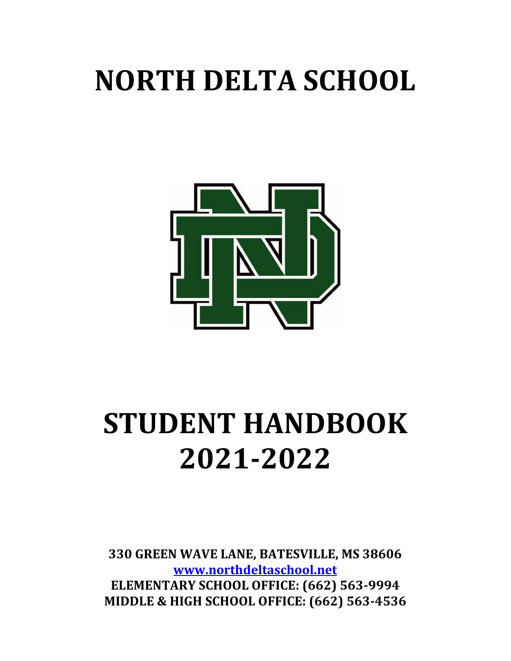# **NORTH DELTA SCHOOL**



# **STUDENT HANDBOOK 2021-2022**

**330 GREEN WAVE LANE, BATESVILLE, MS 38606 [www.northdeltaschool.net](http://www.northdeltaschool.net/) ELEMENTARY SCHOOL OFFICE: (662) 563-9994 MIDDLE & HIGH SCHOOL OFFICE: (662) 563-4536**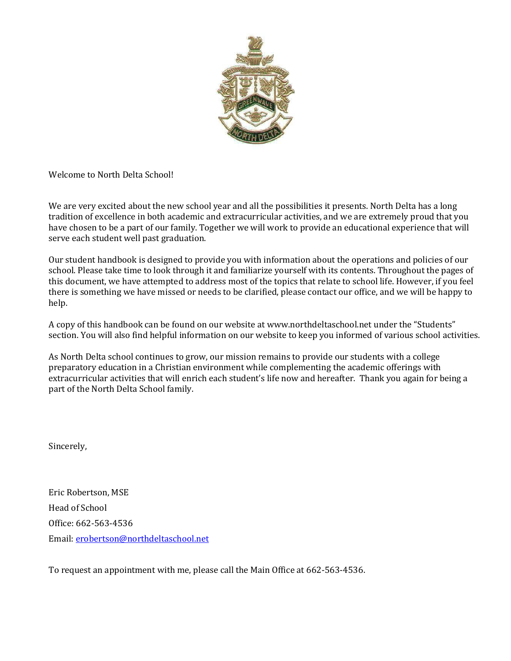

Welcome to North Delta School!

We are very excited about the new school year and all the possibilities it presents. North Delta has a long tradition of excellence in both academic and extracurricular activities, and we are extremely proud that you have chosen to be a part of our family. Together we will work to provide an educational experience that will serve each student well past graduation.

Our student handbook is designed to provide you with information about the operations and policies of our school. Please take time to look through it and familiarize yourself with its contents. Throughout the pages of this document, we have attempted to address most of the topics that relate to school life. However, if you feel there is something we have missed or needs to be clarified, please contact our office, and we will be happy to help.

A copy of this handbook can be found on our website at www.northdeltaschool.net under the "Students" section. You will also find helpful information on our website to keep you informed of various school activities.

As North Delta school continues to grow, our mission remains to provide our students with a college preparatory education in a Christian environment while complementing the academic offerings with extracurricular activities that will enrich each student's life now and hereafter. Thank you again for being a part of the North Delta School family.

Sincerely,

Eric Robertson, MSE Head of School Office: 662-563-4536 Email[: erobertson@northdeltaschool.net](mailto:erobertson@northdeltaschool.net)

To request an appointment with me, please call the Main Office at 662-563-4536.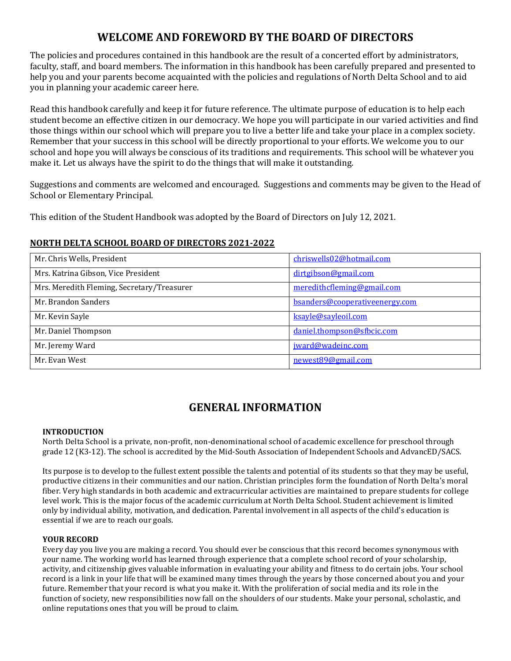# **WELCOME AND FOREWORD BY THE BOARD OF DIRECTORS**

The policies and procedures contained in this handbook are the result of a concerted effort by administrators, faculty, staff, and board members. The information in this handbook has been carefully prepared and presented to help you and your parents become acquainted with the policies and regulations of North Delta School and to aid you in planning your academic career here.

Read this handbook carefully and keep it for future reference. The ultimate purpose of education is to help each student become an effective citizen in our democracy. We hope you will participate in our varied activities and find those things within our school which will prepare you to live a better life and take your place in a complex society. Remember that your success in this school will be directly proportional to your efforts. We welcome you to our school and hope you will always be conscious of its traditions and requirements. This school will be whatever you make it. Let us always have the spirit to do the things that will make it outstanding.

Suggestions and comments are welcomed and encouraged. Suggestions and comments may be given to the Head of School or Elementary Principal.

This edition of the Student Handbook was adopted by the Board of Directors on July 12, 2021.

#### **NORTH DELTA SCHOOL BOARD OF DIRECTORS 2021-2022**

| Mr. Chris Wells, President                 | chriswells02@hotmail.com       |
|--------------------------------------------|--------------------------------|
| Mrs. Katrina Gibson, Vice President        | dirtgibson@gmail.com           |
| Mrs. Meredith Fleming, Secretary/Treasurer | meredithcfleming@gmail.com     |
| Mr. Brandon Sanders                        | bsanders@cooperativeenergy.com |
| Mr. Kevin Sayle                            | ksayle@sayleoil.com            |
| Mr. Daniel Thompson                        | daniel.thompson@sfbcic.com     |
| Mr. Jeremy Ward                            | jward@wadeinc.com              |
| Mr. Evan West                              | newest89@gmail.com             |

# **GENERAL INFORMATION**

#### **INTRODUCTION**

North Delta School is a private, non-profit, non-denominational school of academic excellence for preschool through grade 12 (K3-12). The school is accredited by the Mid-South Association of Independent Schools and AdvancED/SACS.

Its purpose is to develop to the fullest extent possible the talents and potential of its students so that they may be useful, productive citizens in their communities and our nation. Christian principles form the foundation of North Delta's moral fiber. Very high standards in both academic and extracurricular activities are maintained to prepare students for college level work. This is the major focus of the academic curriculum at North Delta School. Student achievement is limited only by individual ability, motivation, and dedication. Parental involvement in all aspects of the child's education is essential if we are to reach our goals.

#### **YOUR RECORD**

Every day you live you are making a record. You should ever be conscious that this record becomes synonymous with your name. The working world has learned through experience that a complete school record of your scholarship, activity, and citizenship gives valuable information in evaluating your ability and fitness to do certain jobs. Your school record is a link in your life that will be examined many times through the years by those concerned about you and your future. Remember that your record is what you make it. With the proliferation of social media and its role in the function of society, new responsibilities now fall on the shoulders of our students. Make your personal, scholastic, and online reputations ones that you will be proud to claim.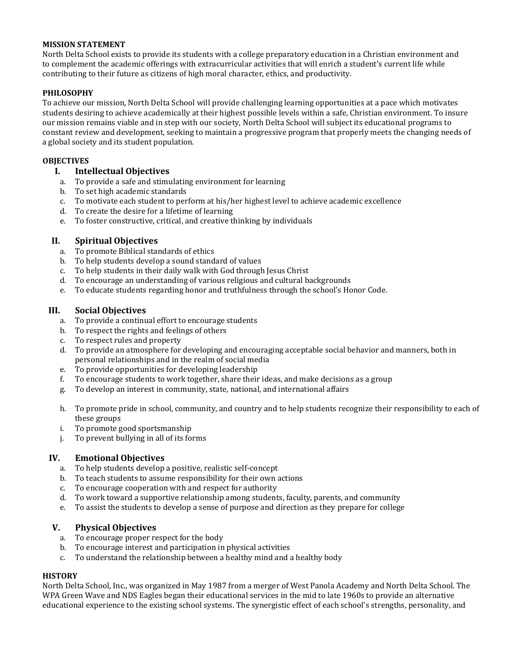#### **MISSION STATEMENT**

North Delta School exists to provide its students with a college preparatory education in a Christian environment and to complement the academic offerings with extracurricular activities that will enrich a student's current life while contributing to their future as citizens of high moral character, ethics, and productivity.

#### **PHILOSOPHY**

To achieve our mission, North Delta School will provide challenging learning opportunities at a pace which motivates students desiring to achieve academically at their highest possible levels within a safe, Christian environment. To insure our mission remains viable and in step with our society, North Delta School will subject its educational programs to constant review and development, seeking to maintain a progressive program that properly meets the changing needs of a global society and its student population.

#### **OBJECTIVES**

#### **I. Intellectual Objectives**

- a. To provide a safe and stimulating environment for learning
- b. To set high academic standards
- c. To motivate each student to perform at his/her highest level to achieve academic excellence
- d. To create the desire for a lifetime of learning
- e. To foster constructive, critical, and creative thinking by individuals

#### **II. Spiritual Objectives**

- a. To promote Biblical standards of ethics
- b. To help students develop a sound standard of values
- c. To help students in their daily walk with God through Jesus Christ
- d. To encourage an understanding of various religious and cultural backgrounds
- e. To educate students regarding honor and truthfulness through the school's Honor Code.

#### **III. Social Objectives**

- a. To provide a continual effort to encourage students
- b. To respect the rights and feelings of others
- c. To respect rules and property
- d. To provide an atmosphere for developing and encouraging acceptable social behavior and manners, both in personal relationships and in the realm of social media
- e. To provide opportunities for developing leadership
- f. To encourage students to work together, share their ideas, and make decisions as a group
- g. To develop an interest in community, state, national, and international affairs
- h. To promote pride in school, community, and country and to help students recognize their responsibility to each of these groups
- i. To promote good sportsmanship
- j. To prevent bullying in all of its forms

#### **IV. Emotional Objectives**

- a. To help students develop a positive, realistic self-concept
- b. To teach students to assume responsibility for their own actions
- c. To encourage cooperation with and respect for authority
- d. To work toward a supportive relationship among students, faculty, parents, and community
- e. To assist the students to develop a sense of purpose and direction as they prepare for college

#### **V. Physical Objectives**

- a. To encourage proper respect for the body
- b. To encourage interest and participation in physical activities
- c. To understand the relationship between a healthy mind and a healthy body

#### **HISTORY**

North Delta School, Inc., was organized in May 1987 from a merger of West Panola Academy and North Delta School. The WPA Green Wave and NDS Eagles began their educational services in the mid to late 1960s to provide an alternative educational experience to the existing school systems. The synergistic effect of each school's strengths, personality, and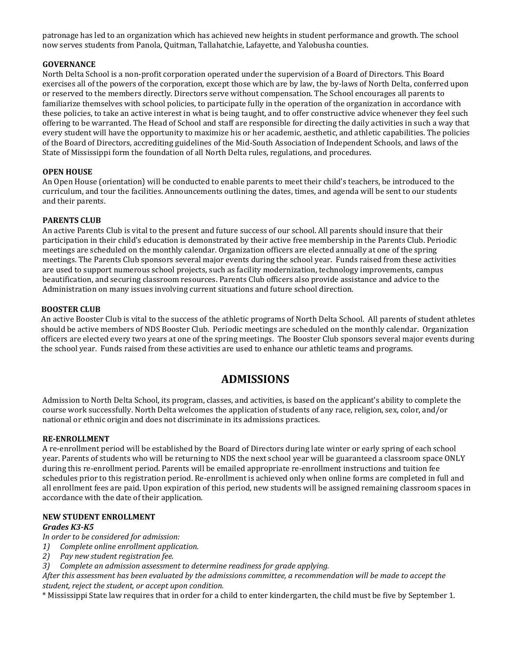patronage has led to an organization which has achieved new heights in student performance and growth. The school now serves students from Panola, Quitman, Tallahatchie, Lafayette, and Yalobusha counties.

#### **GOVERNANCE**

North Delta School is a non-profit corporation operated under the supervision of a Board of Directors. This Board exercises all of the powers of the corporation, except those which are by law, the by-laws of North Delta, conferred upon or reserved to the members directly. Directors serve without compensation. The School encourages all parents to familiarize themselves with school policies, to participate fully in the operation of the organization in accordance with these policies, to take an active interest in what is being taught, and to offer constructive advice whenever they feel such offering to be warranted. The Head of School and staff are responsible for directing the daily activities in such a way that every student will have the opportunity to maximize his or her academic, aesthetic, and athletic capabilities. The policies of the Board of Directors, accrediting guidelines of the Mid-South Association of Independent Schools, and laws of the State of Mississippi form the foundation of all North Delta rules, regulations, and procedures.

#### **OPEN HOUSE**

An Open House (orientation) will be conducted to enable parents to meet their child's teachers, be introduced to the curriculum, and tour the facilities. Announcements outlining the dates, times, and agenda will be sent to our students and their parents.

#### **PARENTS CLUB**

An active Parents Club is vital to the present and future success of our school. All parents should insure that their participation in their child's education is demonstrated by their active free membership in the Parents Club. Periodic meetings are scheduled on the monthly calendar. Organization officers are elected annually at one of the spring meetings. The Parents Club sponsors several major events during the school year. Funds raised from these activities are used to support numerous school projects, such as facility modernization, technology improvements, campus beautification, and securing classroom resources. Parents Club officers also provide assistance and advice to the Administration on many issues involving current situations and future school direction.

#### **BOOSTER CLUB**

An active Booster Club is vital to the success of the athletic programs of North Delta School. All parents of student athletes should be active members of NDS Booster Club. Periodic meetings are scheduled on the monthly calendar. Organization officers are elected every two years at one of the spring meetings. The Booster Club sponsors several major events during the school year. Funds raised from these activities are used to enhance our athletic teams and programs.

## **ADMISSIONS**

Admission to North Delta School, its program, classes, and activities, is based on the applicant's ability to complete the course work successfully. North Delta welcomes the application of students of any race, religion, sex, color, and/or national or ethnic origin and does not discriminate in its admissions practices.

#### **RE-ENROLLMENT**

A re-enrollment period will be established by the Board of Directors during late winter or early spring of each school year. Parents of students who will be returning to NDS the next school year will be guaranteed a classroom space ONLY during this re-enrollment period. Parents will be emailed appropriate re-enrollment instructions and tuition fee schedules prior to this registration period. Re-enrollment is achieved only when online forms are completed in full and all enrollment fees are paid. Upon expiration of this period, new students will be assigned remaining classroom spaces in accordance with the date of their application.

#### **NEW STUDENT ENROLLMENT**

#### *Grades K3-K5*

*In order to be considered for admission:*

- *1) Complete online enrollment application.*
- *2) Pay new student registration fee.*
- *3) Complete an admission assessment to determine readiness for grade applying.*

*After this assessment has been evaluated by the admissions committee, a recommendation will be made to accept the student, reject the student, or accept upon condition.*

\* Mississippi State law requires that in order for a child to enter kindergarten, the child must be five by September 1.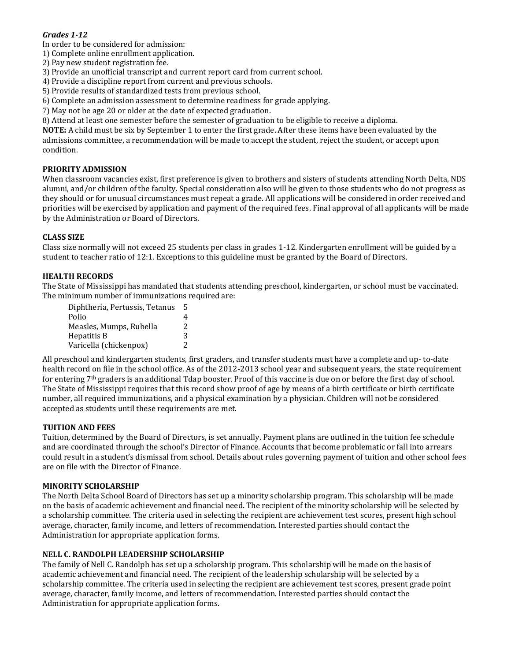#### *Grades 1-12*

In order to be considered for admission:

- 1) Complete online enrollment application.
- 2) Pay new student registration fee.
- 3) Provide an unofficial transcript and current report card from current school.
- 4) Provide a discipline report from current and previous schools.
- 5) Provide results of standardized tests from previous school.
- 6) Complete an admission assessment to determine readiness for grade applying.
- 7) May not be age 20 or older at the date of expected graduation.
- 8) Attend at least one semester before the semester of graduation to be eligible to receive a diploma.

**NOTE:** A child must be six by September 1 to enter the first grade. After these items have been evaluated by the admissions committee, a recommendation will be made to accept the student, reject the student, or accept upon condition.

#### **PRIORITY ADMISSION**

When classroom vacancies exist, first preference is given to brothers and sisters of students attending North Delta, NDS alumni, and/or children of the faculty. Special consideration also will be given to those students who do not progress as they should or for unusual circumstances must repeat a grade. All applications will be considered in order received and priorities will be exercised by application and payment of the required fees. Final approval of all applicants will be made by the Administration or Board of Directors.

#### **CLASS SIZE**

Class size normally will not exceed 25 students per class in grades 1-12. Kindergarten enrollment will be guided by a student to teacher ratio of 12:1. Exceptions to this guideline must be granted by the Board of Directors.

#### **HEALTH RECORDS**

The State of Mississippi has mandated that students attending preschool, kindergarten, or school must be vaccinated. The minimum number of immunizations required are:

| Diphtheria, Pertussis, Tetanus | 5 |
|--------------------------------|---|
| Polio                          | 4 |
| Measles, Mumps, Rubella        | 2 |
| Hepatitis B                    | 3 |
| Varicella (chickenpox)         | 2 |

All preschool and kindergarten students, first graders, and transfer students must have a complete and up- to-date health record on file in the school office. As of the 2012-2013 school year and subsequent years, the state requirement for entering 7<sup>th</sup> graders is an additional Tdap booster. Proof of this vaccine is due on or before the first day of school. The State of Mississippi requires that this record show proof of age by means of a birth certificate or birth certificate number, all required immunizations, and a physical examination by a physician. Children will not be considered accepted as students until these requirements are met.

#### **TUITION AND FEES**

Tuition, determined by the Board of Directors, is set annually. Payment plans are outlined in the tuition fee schedule and are coordinated through the school's Director of Finance. Accounts that become problematic or fall into arrears could result in a student's dismissal from school. Details about rules governing payment of tuition and other school fees are on file with the Director of Finance.

#### **MINORITY SCHOLARSHIP**

The North Delta School Board of Directors has set up a minority scholarship program. This scholarship will be made on the basis of academic achievement and financial need. The recipient of the minority scholarship will be selected by a scholarship committee. The criteria used in selecting the recipient are achievement test scores, present high school average, character, family income, and letters of recommendation. Interested parties should contact the Administration for appropriate application forms.

#### **NELL C. RANDOLPH LEADERSHIP SCHOLARSHIP**

The family of Nell C. Randolph has set up a scholarship program. This scholarship will be made on the basis of academic achievement and financial need. The recipient of the leadership scholarship will be selected by a scholarship committee. The criteria used in selecting the recipient are achievement test scores, present grade point average, character, family income, and letters of recommendation. Interested parties should contact the Administration for appropriate application forms.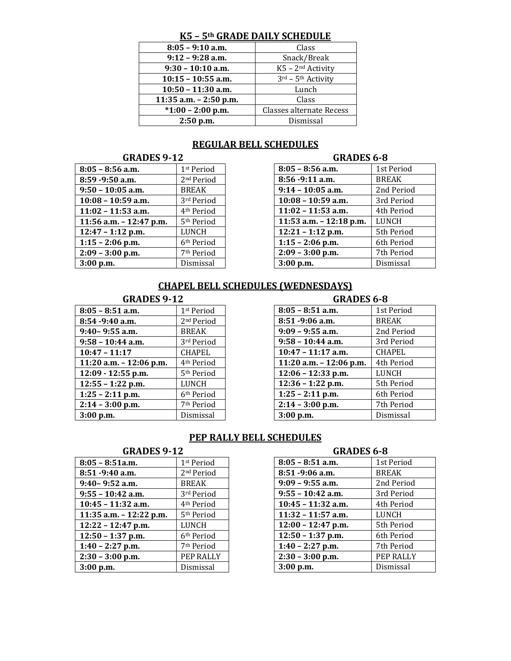### **K5 – 5th GRADE DAILY SCHEDULE**

| $8:05 - 9:10$ a.m.        | Class                          |
|---------------------------|--------------------------------|
| $9:12 - 9:28$ a.m.        | Snack/Break                    |
| $9:30 - 10:10$ a.m.       | K5 - 2 <sup>nd</sup> Activity  |
| $10:15 - 10:55$ a.m.      | 3rd - 5 <sup>th</sup> Activity |
| $10:50 - 11:30$ a.m.      | Lunch                          |
| $11:35$ a.m. $-2:50$ p.m. | Class                          |
| $*1:00 - 2:00$ p.m.       | Classes alternate Recess       |
| $2:50$ p.m.               | Dismissal                      |

# **REGULAR BELL SCHEDULES**

#### **GRADES 9-12**

| $8:05 - 8:56$ a.m.        | 1 <sup>st</sup> Period | $8:05 - 8:56$ a.m.        | 1st Period   |
|---------------------------|------------------------|---------------------------|--------------|
| 8:59 - 9:50 a.m.          | 2 <sup>nd</sup> Period | 8:56 - 9:11 a.m.          | <b>BREAK</b> |
| $9:50 - 10:05$ a.m.       | BREAK                  | $9:14 - 10:05$ a.m.       | 2nd Period   |
| $10:08 - 10:59$ a.m.      | 3rd Period             | $10:08 - 10:59$ a.m.      | 3rd Period   |
| $11:02 - 11:53$ a.m.      | 4 <sup>th</sup> Period | $11:02 - 11:53$ a.m.      | 4th Period   |
| 11:56 a.m. $-$ 12:47 p.m. | 5 <sup>th</sup> Period | 11:53 a.m. $- 12:18$ p.m. | <b>LUNCH</b> |
| $12:47 - 1:12$ p.m.       | LUNCH                  | $12:21 - 1:12$ p.m.       | 5th Period   |
| $1:15 - 2:06$ p.m.        | 6 <sup>th</sup> Period | $1:15 - 2:06$ p.m.        | 6th Period   |
| $2:09 - 3:00$ p.m.        | 7 <sup>th</sup> Period | $2:09 - 3:00$ p.m.        | 7th Period   |
| $3:00$ p.m.               | Dismissal              | $3:00$ p.m.               | Dismissal    |
|                           |                        |                           |              |

| <b>GRADES 6-8</b>       |              |
|-------------------------|--------------|
| $8:05 - 8:56$ a.m.      | 1st Period   |
| 8:56 -9:11 a.m.         | <b>BREAK</b> |
| $9:14 - 10:05$ a.m.     | 2nd Period   |
| $10:08 - 10:59$ a.m.    | 3rd Period   |
| $11:02 - 11:53$ a.m.    | 4th Period   |
| 11:53 a.m. - 12:18 p.m. | LUNCH        |
| $12:21 - 1:12$ p.m.     | 5th Period   |
| $1:15 - 2:06$ p.m.      | 6th Period   |
| $2:09 - 3:00$ p.m.      | 7th Period   |
| $3:00$ p.m.             | Dismissal    |

## **CHAPEL BELL SCHEDULES (WEDNESDAYS)**

| $8:05 - 8:51$ a.m.        | 1 <sup>st</sup> Period | $8:05 - 8:51$ a.m.        | 1st Period    |
|---------------------------|------------------------|---------------------------|---------------|
| $8:54 - 9:40$ a.m.        | 2 <sup>nd</sup> Period | $8:51 - 9:06$ a.m.        | <b>BREAK</b>  |
| $9:40 - 9:55$ a.m.        | BREAK                  | $9:09 - 9:55$ a.m.        | 2nd Period    |
| $9:58 - 10:44$ a.m.       | 3rd Period             | $9:58 - 10:44$ a.m.       | 3rd Period    |
| $10:47 - 11:17$           | CHAPEL                 | $10:47 - 11:17$ a.m.      | <b>CHAPEL</b> |
| 11:20 a.m. $-$ 12:06 p.m. | 4 <sup>th</sup> Period | 11:20 a.m. $- 12:06$ p.m. | 4th Period    |
| $12:09 - 12:55$ p.m.      | 5 <sup>th</sup> Period | $12:06 - 12:33$ p.m.      | LUNCH         |
| $12:55 - 1:22$ p.m.       | LUNCH                  | $12:36 - 1:22$ p.m.       | 5th Period    |
| $1:25 - 2:11$ p.m.        | 6 <sup>th</sup> Period | $1:25 - 2:11$ p.m.        | 6th Period    |
| $2:14 - 3:00$ p.m.        | 7 <sup>th</sup> Period | $2:14 - 3:00$ p.m.        | 7th Period    |
| $3:00$ p.m.               | Dismissal              | $3:00$ p.m.               | Dismissal     |

#### **GRADES 9-12 GRADES 6-8**

| $8:05 - 8:51$ a.m.        | 1st Period    |
|---------------------------|---------------|
| 8:51 -9:06 a.m.           | <b>BREAK</b>  |
| $9:09 - 9:55$ a.m.        | 2nd Period    |
| $9:58 - 10:44$ a.m.       | 3rd Period    |
| $10:47 - 11:17$ a.m.      | <b>CHAPEL</b> |
| 11:20 a.m. $- 12:06$ p.m. | 4th Period    |
| $12:06 - 12:33$ p.m.      | LUNCH         |
| $12:36 - 1:22$ p.m.       | 5th Period    |
| $1:25 - 2:11$ p.m.        | 6th Period    |
| $2:14 - 3:00$ p.m.        | 7th Period    |
| 3:00 p.m.                 | Dismissal     |

# **PEP RALLY BELL SCHEDULES**

| $8:05 - 8:51a.m.$       | 1 <sup>st</sup> Period | $8:05 - 8:51$ a.m.   | 1st Period   |
|-------------------------|------------------------|----------------------|--------------|
| $8:51 - 9:40$ a.m.      | 2 <sup>nd</sup> Period | $8:51 - 9:06$ a.m.   | <b>BREAK</b> |
| $9:40 - 9:52$ a.m.      | BREAK                  | $9:09 - 9:55$ a.m.   | 2nd Period   |
| $9:55 - 10:42$ a.m.     | 3rd Period             | $9:55 - 10:42$ a.m.  | 3rd Period   |
| $10:45 - 11:32$ a.m.    | 4 <sup>th</sup> Period | $10:45 - 11:32$ a.m. | 4th Period   |
| 11:35 a.m. - 12:22 p.m. | 5 <sup>th</sup> Period | $11:32 - 11:57$ a.m. | LUNCH        |
| $12:22 - 12:47$ p.m.    | LUNCH                  | $12:00 - 12:47$ p.m. | 5th Period   |
| $12:50 - 1:37$ p.m.     | 6 <sup>th</sup> Period | $12:50 - 1:37$ p.m.  | 6th Period   |
| $1:40 - 2:27$ p.m.      | 7 <sup>th</sup> Period | $1:40 - 2:27$ p.m.   | 7th Period   |
| $2:30 - 3:00$ p.m.      | PEP RALLY              | $2:30 - 3:00$ p.m.   | PEP RALLY    |
| $3:00$ p.m.             | Dismissal              | $3:00$ p.m.          | Dismissal    |

#### **GRADES 9-12 GRADES 6-8**

| $8:05 - 8:51$ a.m.   | 1st Period   |
|----------------------|--------------|
| 8:51 -9:06 a.m.      | <b>BREAK</b> |
| $9:09 - 9:55$ a.m.   | 2nd Period   |
| $9:55 - 10:42$ a.m.  | 3rd Period   |
| $10:45 - 11:32$ a.m. | 4th Period   |
| $11:32 - 11:57$ a.m. | LUNCH        |
| $12:00 - 12:47$ p.m. | 5th Period   |
| $12:50 - 1:37$ p.m.  | 6th Period   |
| $1:40 - 2:27$ p.m.   | 7th Period   |
| $2:30 - 3:00$ p.m.   | PEP RALLY    |
| $3:00$ p.m.          | Dismissal    |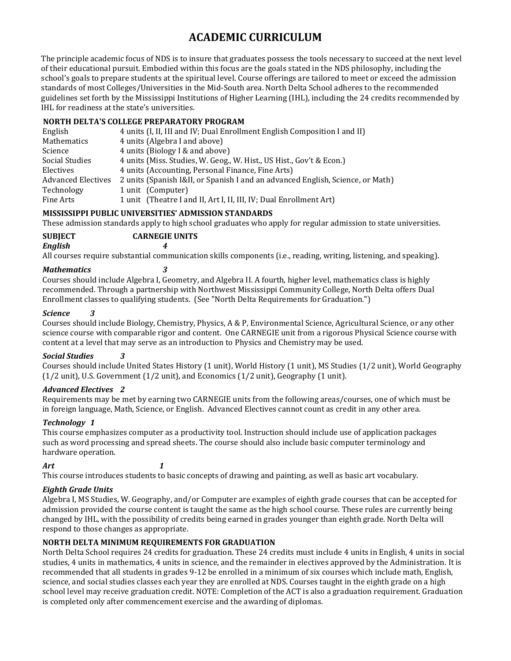# **ACADEMIC CURRICULUM**

The principle academic focus of NDS is to insure that graduates possess the tools necessary to succeed at the next level of their educational pursuit. Embodied within this focus are the goals stated in the NDS philosophy, including the school's goals to prepare students at the spiritual level. Course offerings are tailored to meet or exceed the admission standards of most Colleges/Universities in the Mid-South area. North Delta School adheres to the recommended guidelines set forth by the Mississippi Institutions of Higher Learning (IHL), including the 24 credits recommended by IHL for readiness at the state's universities.

#### **NORTH DELTA'S COLLEGE PREPARATORY PROGRAM**

| English                   | 4 units (I, II, III and IV; Dual Enrollment English Composition I and II)      |
|---------------------------|--------------------------------------------------------------------------------|
| Mathematics               | 4 units (Algebra I and above)                                                  |
| Science                   | 4 units (Biology I & and above)                                                |
| Social Studies            | 4 units (Miss. Studies, W. Geog., W. Hist., US Hist., Gov't & Econ.)           |
| Electives                 | 4 units (Accounting, Personal Finance, Fine Arts)                              |
| <b>Advanced Electives</b> | 2 units (Spanish I&II, or Spanish I and an advanced English, Science, or Math) |
| Technology                | 1 unit (Computer)                                                              |
| Fine Arts                 | 1 unit (Theatre I and II, Art I, II, III, IV; Dual Enrollment Art)             |

#### **MISSISSIPPI PUBLIC UNIVERSITIES' ADMISSION STANDARDS**

These admission standards apply to high school graduates who apply for regular admission to state universities.

**SUBJECT CARNEGIE UNITS**

*English 4*

All courses require substantial communication skills components (i.e., reading, writing, listening, and speaking).

#### *Mathematics 3*

Courses should include Algebra I, Geometry, and Algebra II. A fourth, higher level, mathematics class is highly recommended. Through a partnership with Northwest Mississippi Community College, North Delta offers Dual Enrollment classes to qualifying students. (See "North Delta Requirements for Graduation.")

#### *Science 3*

Courses should include Biology, Chemistry, Physics, A & P, Environmental Science, Agricultural Science, or any other science course with comparable rigor and content. One CARNEGIE unit from a rigorous Physical Science course with content at a level that may serve as an introduction to Physics and Chemistry may be used.

#### *Social Studies 3*

Courses should include United States History (1 unit), World History (1 unit), MS Studies (1/2 unit), World Geography (1/2 unit), U.S. Government (1/2 unit), and Economics (1/2 unit), Geography (1 unit).

#### *Advanced Electives 2*

Requirements may be met by earning two CARNEGIE units from the following areas/courses, one of which must be in foreign language, Math, Science, or English. Advanced Electives cannot count as credit in any other area.

#### *Technology 1*

This course emphasizes computer as a productivity tool. Instruction should include use of application packages such as word processing and spread sheets. The course should also include basic computer terminology and hardware operation.

*Art 1*

This course introduces students to basic concepts of drawing and painting, as well as basic art vocabulary.

#### *Eighth Grade Units*

Algebra I, MS Studies, W. Geography, and/or Computer are examples of eighth grade courses that can be accepted for admission provided the course content is taught the same as the high school course. These rules are currently being changed by IHL, with the possibility of credits being earned in grades younger than eighth grade. North Delta will respond to those changes as appropriate.

#### **NORTH DELTA MINIMUM REQUIREMENTS FOR GRADUATION**

North Delta School requires 24 credits for graduation. These 24 credits must include 4 units in English, 4 units in social studies, 4 units in mathematics, 4 units in science, and the remainder in electives approved by the Administration. It is recommended that all students in grades 9-12 be enrolled in a minimum of six courses which include math, English, science, and social studies classes each year they are enrolled at NDS. Courses taught in the eighth grade on a high school level may receive graduation credit. NOTE: Completion of the ACT is also a graduation requirement. Graduation is completed only after commencement exercise and the awarding of diplomas.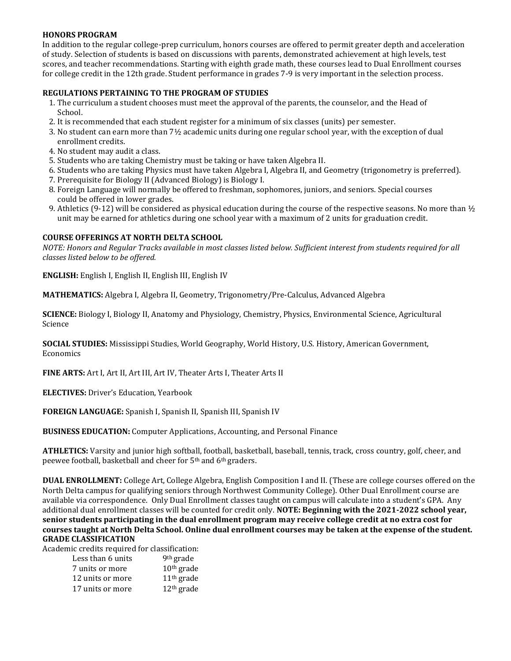#### **HONORS PROGRAM**

In addition to the regular college-prep curriculum, honors courses are offered to permit greater depth and acceleration of study. Selection of students is based on discussions with parents, demonstrated achievement at high levels, test scores, and teacher recommendations. Starting with eighth grade math, these courses lead to Dual Enrollment courses for college credit in the 12th grade. Student performance in grades 7-9 is very important in the selection process.

#### **REGULATIONS PERTAINING TO THE PROGRAM OF STUDIES**

- 1. The curriculum a student chooses must meet the approval of the parents, the counselor, and the Head of School.
- 2. It is recommended that each student register for a minimum of six classes (units) per semester.
- 3. No student can earn more than 7½ academic units during one regular school year, with the exception of dual enrollment credits.
- 4. No student may audit a class.
- 5. Students who are taking Chemistry must be taking or have taken Algebra II.
- 6. Students who are taking Physics must have taken Algebra I, Algebra II, and Geometry (trigonometry is preferred).
- 7. Prerequisite for Biology II (Advanced Biology) is Biology I.
- 8. Foreign Language will normally be offered to freshman, sophomores, juniors, and seniors. Special courses could be offered in lower grades.
- 9. Athletics (9-12) will be considered as physical education during the course of the respective seasons. No more than  $\frac{1}{2}$ unit may be earned for athletics during one school year with a maximum of 2 units for graduation credit.

#### **COURSE OFFERINGS AT NORTH DELTA SCHOOL**

*NOTE: Honors and Regular Tracks available in most classes listed below. Sufficient interest from students required for all classes listed below to be offered.*

**ENGLISH:** English I, English II, English III, English IV

**MATHEMATICS:** Algebra I, Algebra II, Geometry, Trigonometry/Pre-Calculus, Advanced Algebra

**SCIENCE:** Biology I, Biology II, Anatomy and Physiology, Chemistry, Physics, Environmental Science, Agricultural Science

**SOCIAL STUDIES:** Mississippi Studies, World Geography, World History, U.S. History, American Government, Economics

**FINE ARTS:** Art I, Art II, Art III, Art IV, Theater Arts I, Theater Arts II

**ELECTIVES:** Driver's Education, Yearbook

**FOREIGN LANGUAGE:** Spanish I, Spanish II, Spanish III, Spanish IV

**BUSINESS EDUCATION:** Computer Applications, Accounting, and Personal Finance

**ATHLETICS:** Varsity and junior high softball, football, basketball, baseball, tennis, track, cross country, golf, cheer, and peewee football, basketball and cheer for 5th and 6th graders.

**DUAL ENROLLMENT:** College Art, College Algebra, English Composition I and II. (These are college courses offered on the North Delta campus for qualifying seniors through Northwest Community College). Other Dual Enrollment course are available via correspondence. Only Dual Enrollment classes taught on campus will calculate into a student's GPA. Any additional dual enrollment classes will be counted for credit only. **NOTE: Beginning with the 2021-2022 school year, senior students participating in the dual enrollment program may receive college credit at no extra cost for courses taught at North Delta School. Online dual enrollment courses may be taken at the expense of the student. GRADE CLASSIFICATION**

Academic credits required for classification:

| Less than 6 units | 9 <sup>th</sup> grade |
|-------------------|-----------------------|
| 7 units or more   | $10th$ grade          |
| 12 units or more  | $11th$ grade          |
| 17 units or more  | $12th$ grade          |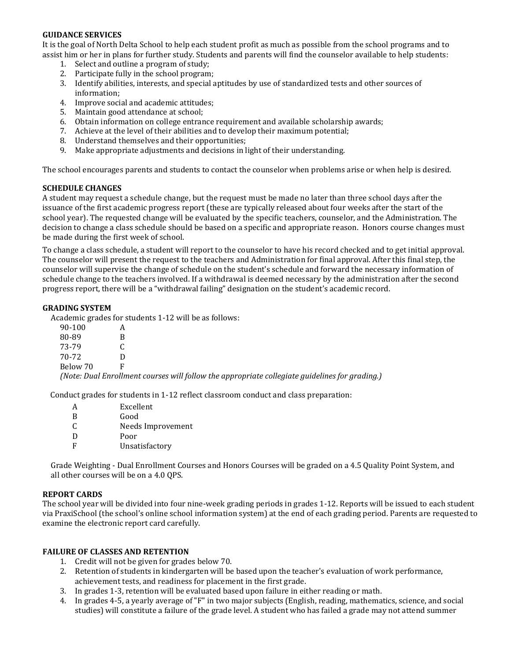#### **GUIDANCE SERVICES**

It is the goal of North Delta School to help each student profit as much as possible from the school programs and to assist him or her in plans for further study. Students and parents will find the counselor available to help students:

- 1. Select and outline a program of study;
- 2. Participate fully in the school program;
- 3. Identify abilities, interests, and special aptitudes by use of standardized tests and other sources of information;
- 4. Improve social and academic attitudes;
- 5. Maintain good attendance at school;
- 6. Obtain information on college entrance requirement and available scholarship awards;
- 7. Achieve at the level of their abilities and to develop their maximum potential;
- 8. Understand themselves and their opportunities;
- 9. Make appropriate adjustments and decisions in light of their understanding.

The school encourages parents and students to contact the counselor when problems arise or when help is desired.

#### **SCHEDULE CHANGES**

A student may request a schedule change, but the request must be made no later than three school days after the issuance of the first academic progress report (these are typically released about four weeks after the start of the school year). The requested change will be evaluated by the specific teachers, counselor, and the Administration. The decision to change a class schedule should be based on a specific and appropriate reason. Honors course changes must be made during the first week of school.

To change a class schedule, a student will report to the counselor to have his record checked and to get initial approval. The counselor will present the request to the teachers and Administration for final approval. After this final step, the counselor will supervise the change of schedule on the student's schedule and forward the necessary information of schedule change to the teachers involved. If a withdrawal is deemed necessary by the administration after the second progress report, there will be a "withdrawal failing" designation on the student's academic record.

#### **GRADING SYSTEM**

Academic grades for students 1-12 will be as follows:

| 90-100   |                                                                                                |
|----------|------------------------------------------------------------------------------------------------|
| 80-89    |                                                                                                |
| 73-79    |                                                                                                |
| 70-72    |                                                                                                |
| Below 70 |                                                                                                |
|          | (Note: Dual Enrollment courses will follow the appropriate collegiate guidelines for grading.) |

Conduct grades for students in 1-12 reflect classroom conduct and class preparation:

| А | Excellent         |
|---|-------------------|
| B | Good              |
| C | Needs Improvement |
| D | Poor              |
| F | Unsatisfactory    |
|   |                   |

Grade Weighting - Dual Enrollment Courses and Honors Courses will be graded on a 4.5 Quality Point System, and all other courses will be on a 4.0 QPS.

#### **REPORT CARDS**

The school year will be divided into four nine-week grading periods in grades 1-12. Reports will be issued to each student via PraxiSchool (the school's online school information system) at the end of each grading period. Parents are requested to examine the electronic report card carefully.

#### **FAILURE OF CLASSES AND RETENTION**

- 1. Credit will not be given for grades below 70.
- 2. Retention of students in kindergarten will be based upon the teacher's evaluation of work performance, achievement tests, and readiness for placement in the first grade.
- 3. In grades 1-3, retention will be evaluated based upon failure in either reading or math.
- 4. In grades 4-5, a yearly average of "F" in two major subjects (English, reading, mathematics, science, and social studies) will constitute a failure of the grade level. A student who has failed a grade may not attend summer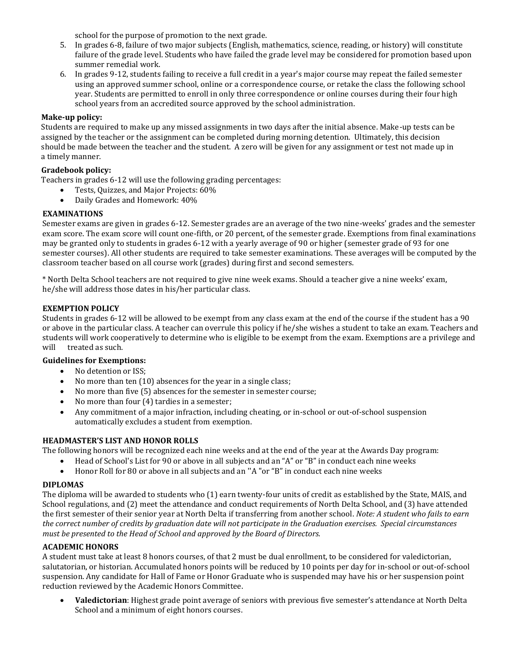school for the purpose of promotion to the next grade.

- 5. In grades 6-8, failure of two major subjects (English, mathematics, science, reading, or history) will constitute failure of the grade level. Students who have failed the grade level may be considered for promotion based upon summer remedial work.
- 6. In grades 9-12, students failing to receive a full credit in a year's major course may repeat the failed semester using an approved summer school, online or a correspondence course, or retake the class the following school year. Students are permitted to enroll in only three correspondence or online courses during their four high school years from an accredited source approved by the school administration.

#### **Make-up policy:**

Students are required to make up any missed assignments in two days after the initial absence. Make-up tests can be assigned by the teacher or the assignment can be completed during morning detention. Ultimately, this decision should be made between the teacher and the student. A zero will be given for any assignment or test not made up in a timely manner.

#### **Gradebook policy:**

Teachers in grades 6-12 will use the following grading percentages:

- Tests, Quizzes, and Major Projects: 60%
- Daily Grades and Homework: 40%

#### **EXAMINATIONS**

Semester exams are given in grades 6-12. Semester grades are an average of the two nine-weeks' grades and the semester exam score. The exam score will count one-fifth, or 20 percent, of the semester grade. Exemptions from final examinations may be granted only to students in grades 6-12 with a yearly average of 90 or higher (semester grade of 93 for one semester courses). All other students are required to take semester examinations. These averages will be computed by the classroom teacher based on all course work (grades) during first and second semesters.

\* North Delta School teachers are not required to give nine week exams. Should a teacher give a nine weeks' exam, he/she will address those dates in his/her particular class.

#### **EXEMPTION POLICY**

Students in grades 6-12 will be allowed to be exempt from any class exam at the end of the course if the student has a 90 or above in the particular class. A teacher can overrule this policy if he/she wishes a student to take an exam. Teachers and students will work cooperatively to determine who is eligible to be exempt from the exam. Exemptions are a privilege and will treated as such.

#### **Guidelines for Exemptions:**

- No detention or ISS;
- No more than ten (10) absences for the year in a single class;
- No more than five (5) absences for the semester in semester course;
- No more than four (4) tardies in a semester;
- Any commitment of a major infraction, including cheating, or in-school or out-of-school suspension automatically excludes a student from exemption.

#### **HEADMASTER'S LIST AND HONOR ROLLS**

The following honors will be recognized each nine weeks and at the end of the year at the Awards Day program:

- Head of School's List for 90 or above in all subjects and an "A" or "B" in conduct each nine weeks
- Honor Roll for 80 or above in all subjects and an ''A "or "B" in conduct each nine weeks

#### **DIPLOMAS**

The diploma will be awarded to students who (1) earn twenty-four units of credit as established by the State, MAIS, and School regulations, and (2) meet the attendance and conduct requirements of North Delta School, and (3) have attended the first semester of their senior year at North Delta if transferring from another school. *Note: A student who fails to earn the correct number of credits by graduation date will not participate in the Graduation exercises. Special circumstances must be presented to the Head of School and approved by the Board of Directors.*

#### **ACADEMIC HONORS**

A student must take at least 8 honors courses, of that 2 must be dual enrollment, to be considered for valedictorian, salutatorian, or historian. Accumulated honors points will be reduced by 10 points per day for in-school or out-of-school suspension. Any candidate for Hall of Fame or Honor Graduate who is suspended may have his or her suspension point reduction reviewed by the Academic Honors Committee.

• **Valedictorian**: Highest grade point average of seniors with previous five semester's attendance at North Delta School and a minimum of eight honors courses.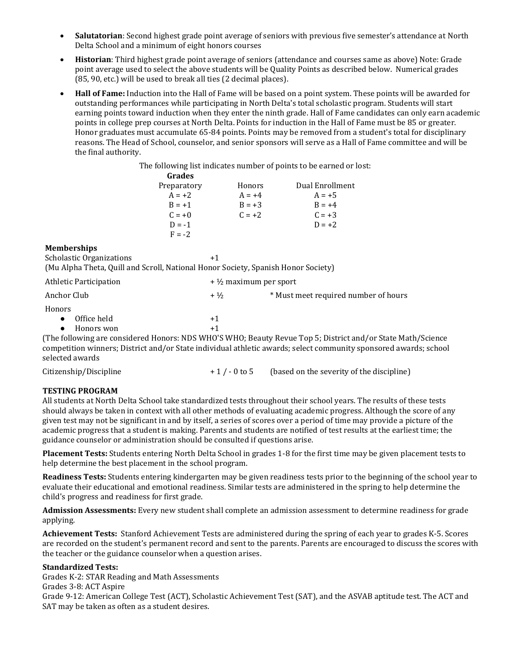- **Salutatorian**: Second highest grade point average of seniors with previous five semester's attendance at North Delta School and a minimum of eight honors courses
- **Historian**: Third highest grade point average of seniors (attendance and courses same as above) Note: Grade point average used to select the above students will be Quality Points as described below. Numerical grades (85, 90, etc.) will be used to break all ties (2 decimal places).
- **Hall of Fame:** Induction into the Hall of Fame will be based on a point system. These points will be awarded for outstanding performances while participating in North Delta's total scholastic program. Students will start earning points toward induction when they enter the ninth grade. Hall of Fame candidates can only earn academic points in college prep courses at North Delta. Points for induction in the Hall of Fame must be 85 or greater. Honor graduates must accumulate 65-84 points. Points may be removed from a student's total for disciplinary reasons. The Head of School, counselor, and senior sponsors will serve as a Hall of Fame committee and will be the final authority.

The following list indicates number of points to be earned or lost:

| <b>Grades</b> |          |                 |
|---------------|----------|-----------------|
| Preparatory   | Honors   | Dual Enrollment |
| $A = +2$      | $A = +4$ | $A = +5$        |
| $B = +1$      | $B = +3$ | $B = +4$        |
| $C = +0$      | $C = +2$ | $C = +3$        |
| $D = -1$      |          | $D = +2$        |
| $F = -2$      |          |                 |

#### **Memberships**

Scholastic Organizations  $+1$ (Mu Alpha Theta, Quill and Scroll, National Honor Society, Spanish Honor Society)

| Athletic Participation | $+$ 1/2 maximum per sport |                                      |
|------------------------|---------------------------|--------------------------------------|
| Anchor Club            | $+1/2$                    | * Must meet required number of hours |
| Honors<br>Office held  | $+1$                      |                                      |
| Honors won             | $+1$                      |                                      |

(The following are considered Honors: NDS WHO'S WHO; Beauty Revue Top 5; District and/or State Math/Science competition winners; District and/or State individual athletic awards; select community sponsored awards; school selected awards

| Citizenship/Discipline |            | (based on the severity of the discipline) |
|------------------------|------------|-------------------------------------------|
|                        | +1/-0 to 5 |                                           |
|                        |            |                                           |

#### **TESTING PROGRAM**

All students at North Delta School take standardized tests throughout their school years. The results of these tests should always be taken in context with all other methods of evaluating academic progress. Although the score of any given test may not be significant in and by itself, a series of scores over a period of time may provide a picture of the academic progress that a student is making. Parents and students are notified of test results at the earliest time; the guidance counselor or administration should be consulted if questions arise.

**Placement Tests:** Students entering North Delta School in grades 1-8 for the first time may be given placement tests to help determine the best placement in the school program.

**Readiness Tests:** Students entering kindergarten may be given readiness tests prior to the beginning of the school year to evaluate their educational and emotional readiness. Similar tests are administered in the spring to help determine the child's progress and readiness for first grade.

**Admission Assessments:** Every new student shall complete an admission assessment to determine readiness for grade applying.

**Achievement Tests:** Stanford Achievement Tests are administered during the spring of each year to grades K-5. Scores are recorded on the student's permanent record and sent to the parents. Parents are encouraged to discuss the scores with the teacher or the guidance counselor when a question arises.

#### **Standardized Tests:**

Grades K-2: STAR Reading and Math Assessments

Grades 3-8: ACT Aspire

Grade 9-12: American College Test (ACT), Scholastic Achievement Test (SAT), and the ASVAB aptitude test. The ACT and SAT may be taken as often as a student desires.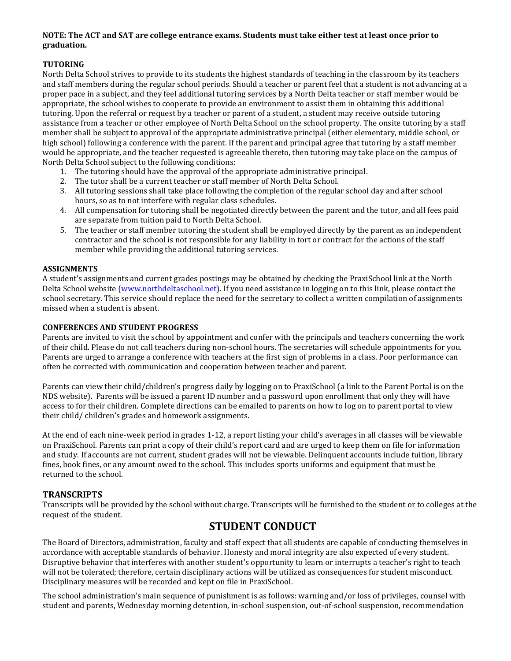#### **NOTE: The ACT and SAT are college entrance exams. Students must take either test at least once prior to graduation.**

#### **TUTORING**

North Delta School strives to provide to its students the highest standards of teaching in the classroom by its teachers and staff members during the regular school periods. Should a teacher or parent feel that a student is not advancing at a proper pace in a subject, and they feel additional tutoring services by a North Delta teacher or staff member would be appropriate, the school wishes to cooperate to provide an environment to assist them in obtaining this additional tutoring. Upon the referral or request by a teacher or parent of a student, a student may receive outside tutoring assistance from a teacher or other employee of North Delta School on the school property. The onsite tutoring by a staff member shall be subject to approval of the appropriate administrative principal (either elementary, middle school, or high school) following a conference with the parent. If the parent and principal agree that tutoring by a staff member would be appropriate, and the teacher requested is agreeable thereto, then tutoring may take place on the campus of North Delta School subject to the following conditions:

- 1. The tutoring should have the approval of the appropriate administrative principal.
- 2. The tutor shall be a current teacher or staff member of North Delta School.
- 3. All tutoring sessions shall take place following the completion of the regular school day and after school hours, so as to not interfere with regular class schedules.
- 4. All compensation for tutoring shall be negotiated directly between the parent and the tutor, and all fees paid are separate from tuition paid to North Delta School.
- 5. The teacher or staff member tutoring the student shall be employed directly by the parent as an independent contractor and the school is not responsible for any liability in tort or contract for the actions of the staff member while providing the additional tutoring services.

#### **ASSIGNMENTS**

A student's assignments and current grades postings may be obtained by checking the PraxiSchool link at the North Delta School website [\(www.northdeltaschool.net\)](http://www.northdeltaschool.net/). If you need assistance in logging on to this link, please contact the school secretary. This service should replace the need for the secretary to collect a written compilation of assignments missed when a student is absent.

#### **CONFERENCES AND STUDENT PROGRESS**

Parents are invited to visit the school by appointment and confer with the principals and teachers concerning the work of their child. Please do not call teachers during non-school hours. The secretaries will schedule appointments for you. Parents are urged to arrange a conference with teachers at the first sign of problems in a class. Poor performance can often be corrected with communication and cooperation between teacher and parent.

Parents can view their child/children's progress daily by logging on to PraxiSchool (a link to the Parent Portal is on the NDS website). Parents will be issued a parent ID number and a password upon enrollment that only they will have access to for their children. Complete directions can be emailed to parents on how to log on to parent portal to view their child/ children's grades and homework assignments.

At the end of each nine-week period in grades 1-12, a report listing your child's averages in all classes will be viewable on PraxiSchool. Parents can print a copy of their child's report card and are urged to keep them on file for information and study. If accounts are not current, student grades will not be viewable. Delinquent accounts include tuition, library fines, book fines, or any amount owed to the school. This includes sports uniforms and equipment that must be returned to the school.

#### **TRANSCRIPTS**

Transcripts will be provided by the school without charge. Transcripts will be furnished to the student or to colleges at the request of the student.

# **STUDENT CONDUCT**

The Board of Directors, administration, faculty and staff expect that all students are capable of conducting themselves in accordance with acceptable standards of behavior. Honesty and moral integrity are also expected of every student. Disruptive behavior that interferes with another student's opportunity to learn or interrupts a teacher's right to teach will not be tolerated; therefore, certain disciplinary actions will be utilized as consequences for student misconduct. Disciplinary measures will be recorded and kept on file in PraxiSchool.

The school administration's main sequence of punishment is as follows: warning and/or loss of privileges, counsel with student and parents, Wednesday morning detention, in-school suspension, out-of-school suspension, recommendation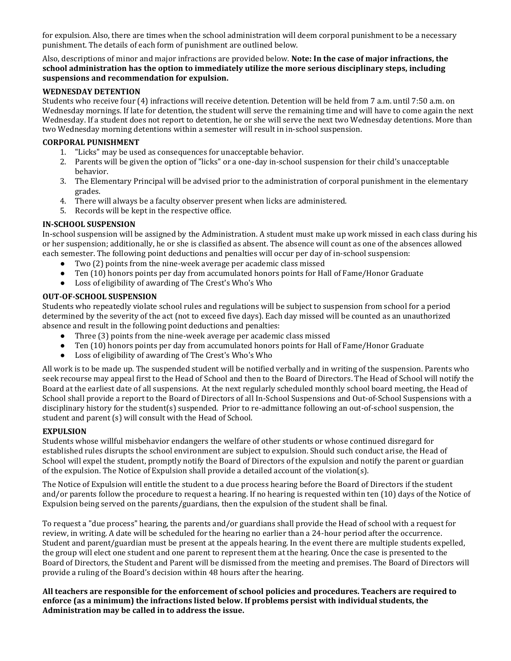for expulsion. Also, there are times when the school administration will deem corporal punishment to be a necessary punishment. The details of each form of punishment are outlined below.

Also, descriptions of minor and major infractions are provided below. **Note: In the case of major infractions, the school administration has the option to immediately utilize the more serious disciplinary steps, including suspensions and recommendation for expulsion.**

#### **WEDNESDAY DETENTION**

Students who receive four (4) infractions will receive detention. Detention will be held from 7 a.m. until 7:50 a.m. on Wednesday mornings. If late for detention, the student will serve the remaining time and will have to come again the next Wednesday. If a student does not report to detention, he or she will serve the next two Wednesday detentions. More than two Wednesday morning detentions within a semester will result in in-school suspension.

#### **CORPORAL PUNISHMENT**

- 1. "Licks" may be used as consequences for unacceptable behavior.
- 2. Parents will be given the option of "licks" or a one-day in-school suspension for their child's unacceptable behavior.
- 3. The Elementary Principal will be advised prior to the administration of corporal punishment in the elementary grades.
- 4. There will always be a faculty observer present when licks are administered.
- 5. Records will be kept in the respective office.

#### **IN-SCHOOL SUSPENSION**

In-school suspension will be assigned by the Administration. A student must make up work missed in each class during his or her suspension; additionally, he or she is classified as absent. The absence will count as one of the absences allowed each semester. The following point deductions and penalties will occur per day of in-school suspension:

- Two (2) points from the nine-week average per academic class missed
- Ten (10) honors points per day from accumulated honors points for Hall of Fame/Honor Graduate
- Loss of eligibility of awarding of The Crest's Who's Who

#### **OUT-OF-SCHOOL SUSPENSION**

Students who repeatedly violate school rules and regulations will be subject to suspension from school for a period determined by the severity of the act (not to exceed five days). Each day missed will be counted as an unauthorized absence and result in the following point deductions and penalties:

- Three (3) points from the nine-week average per academic class missed
- Ten (10) honors points per day from accumulated honors points for Hall of Fame/Honor Graduate
- Loss of eligibility of awarding of The Crest's Who's Who

All work is to be made up. The suspended student will be notified verbally and in writing of the suspension. Parents who seek recourse may appeal first to the Head of School and then to the Board of Directors. The Head of School will notify the Board at the earliest date of all suspensions. At the next regularly scheduled monthly school board meeting, the Head of School shall provide a report to the Board of Directors of all In-School Suspensions and Out-of-School Suspensions with a disciplinary history for the student(s) suspended. Prior to re-admittance following an out-of-school suspension, the student and parent (s) will consult with the Head of School.

#### **EXPULSION**

Students whose willful misbehavior endangers the welfare of other students or whose continued disregard for established rules disrupts the school environment are subject to expulsion. Should such conduct arise, the Head of School will expel the student, promptly notify the Board of Directors of the expulsion and notify the parent or guardian of the expulsion. The Notice of Expulsion shall provide a detailed account of the violation(s).

The Notice of Expulsion will entitle the student to a due process hearing before the Board of Directors if the student and/or parents follow the procedure to request a hearing. If no hearing is requested within ten (10) days of the Notice of Expulsion being served on the parents/guardians, then the expulsion of the student shall be final.

To request a "due process" hearing, the parents and/or guardians shall provide the Head of school with a request for review, in writing. A date will be scheduled for the hearing no earlier than a 24-hour period after the occurrence. Student and parent/guardian must be present at the appeals hearing. In the event there are multiple students expelled, the group will elect one student and one parent to represent them at the hearing. Once the case is presented to the Board of Directors, the Student and Parent will be dismissed from the meeting and premises. The Board of Directors will provide a ruling of the Board's decision within 48 hours after the hearing.

**All teachers are responsible for the enforcement of school policies and procedures. Teachers are required to enforce (as a minimum) the infractions listed below. If problems persist with individual students, the Administration may be called in to address the issue.**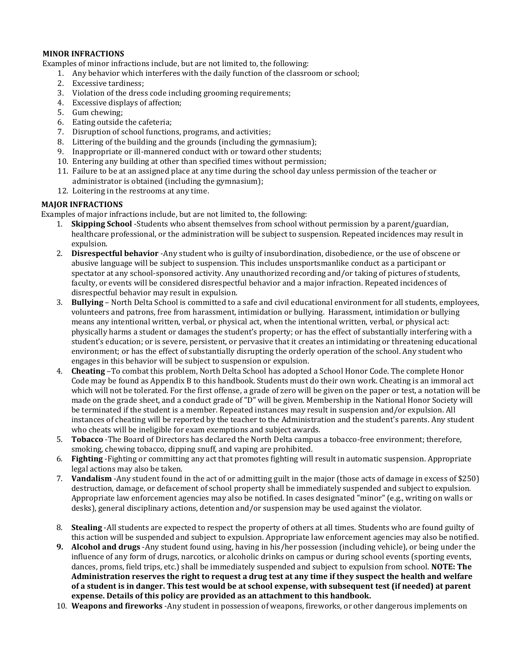#### **MINOR INFRACTIONS**

Examples of minor infractions include, but are not limited to, the following:

- 1. Any behavior which interferes with the daily function of the classroom or school;
- 2. Excessive tardiness;
- 3. Violation of the dress code including grooming requirements;
- 4. Excessive displays of affection;
- 5. Gum chewing;
- 6. Eating outside the cafeteria;
- 7. Disruption of school functions, programs, and activities;
- 8. Littering of the building and the grounds (including the gymnasium);
- 9. Inappropriate or ill-mannered conduct with or toward other students;
- 10. Entering any building at other than specified times without permission;
- 11. Failure to be at an assigned place at any time during the school day unless permission of the teacher or administrator is obtained (including the gymnasium);
- 12. Loitering in the restrooms at any time.

#### **MAJOR INFRACTIONS**

Examples of major infractions include, but are not limited to, the following:

- 1. **Skipping School** -Students who absent themselves from school without permission by a parent/guardian, healthcare professional, or the administration will be subject to suspension. Repeated incidences may result in expulsion.
- 2. **Disrespectful behavior** -Any student who is guilty of insubordination, disobedience, or the use of obscene or abusive language will be subject to suspension. This includes unsportsmanlike conduct as a participant or spectator at any school-sponsored activity. Any unauthorized recording and/or taking of pictures of students, faculty, or events will be considered disrespectful behavior and a major infraction. Repeated incidences of disrespectful behavior may result in expulsion.
- 3. **Bullying** North Delta School is committed to a safe and civil educational environment for all students, employees, volunteers and patrons, free from harassment, intimidation or bullying. Harassment, intimidation or bullying means any intentional written, verbal, or physical act, when the intentional written, verbal, or physical act: physically harms a student or damages the student's property; or has the effect of substantially interfering with a student's education; or is severe, persistent, or pervasive that it creates an intimidating or threatening educational environment; or has the effect of substantially disrupting the orderly operation of the school. Any student who engages in this behavior will be subject to suspension or expulsion.
- 4. **Cheating** –To combat this problem, North Delta School has adopted a School Honor Code. The complete Honor Code may be found as Appendix B to this handbook. Students must do their own work. Cheating is an immoral act which will not be tolerated. For the first offense, a grade of zero will be given on the paper or test, a notation will be made on the grade sheet, and a conduct grade of "D" will be given. Membership in the National Honor Society will be terminated if the student is a member. Repeated instances may result in suspension and/or expulsion. All instances of cheating will be reported by the teacher to the Administration and the student's parents. Any student who cheats will be ineligible for exam exemptions and subject awards.
- 5. **Tobacco** -The Board of Directors has declared the North Delta campus a tobacco-free environment; therefore, smoking, chewing tobacco, dipping snuff, and vaping are prohibited.
- 6. **Fighting** -Fighting or committing any act that promotes fighting will result in automatic suspension. Appropriate legal actions may also be taken.
- 7. **Vandalism** -Any student found in the act of or admitting guilt in the major (those acts of damage in excess of \$250) destruction, damage, or defacement of school property shall be immediately suspended and subject to expulsion. Appropriate law enforcement agencies may also be notified. In cases designated "minor" (e.g., writing on walls or desks), general disciplinary actions, detention and/or suspension may be used against the violator.
- 8. **Stealing** -All students are expected to respect the property of others at all times. Students who are found guilty of this action will be suspended and subject to expulsion. Appropriate law enforcement agencies may also be notified.
- **9. Alcohol and drugs** -Any student found using, having in his/her possession (including vehicle), or being under the influence of any form of drugs, narcotics, or alcoholic drinks on campus or during school events (sporting events, dances, proms, field trips, etc.) shall be immediately suspended and subject to expulsion from school. **NOTE: The Administration reserves the right to request a drug test at any time if they suspect the health and welfare of a student is in danger. This test would be at school expense, with subsequent test (if needed) at parent expense. Details of this policy are provided as an attachment to this handbook.**
- 10. **Weapons and fireworks** -Any student in possession of weapons, fireworks, or other dangerous implements on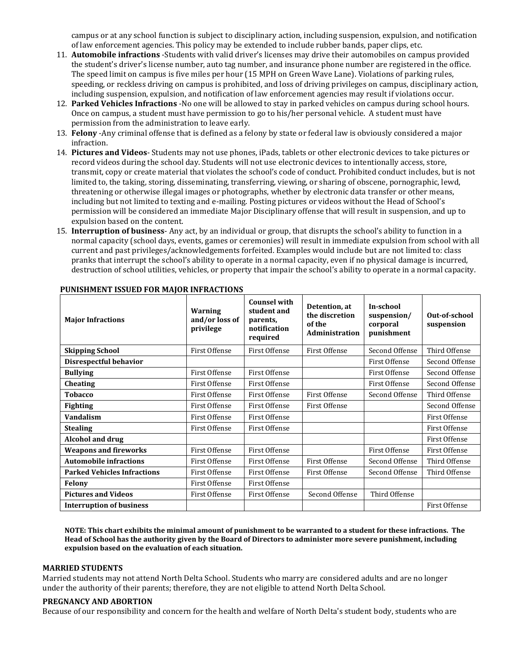campus or at any school function is subject to disciplinary action, including suspension, expulsion, and notification of law enforcement agencies. This policy may be extended to include rubber bands, paper clips, etc.

- 11. **Automobile infractions** -Students with valid driver's licenses may drive their automobiles on campus provided the student's driver's license number, auto tag number, and insurance phone number are registered in the office. The speed limit on campus is five miles per hour (15 MPH on Green Wave Lane). Violations of parking rules, speeding, or reckless driving on campus is prohibited, and loss of driving privileges on campus, disciplinary action, including suspension, expulsion, and notification of law enforcement agencies may result if violations occur.
- 12. **Parked Vehicles Infractions** -No one will be allowed to stay in parked vehicles on campus during school hours. Once on campus, a student must have permission to go to his/her personal vehicle. A student must have permission from the administration to leave early.
- 13. **Felony** -Any criminal offense that is defined as a felony by state or federal law is obviously considered a major infraction.
- 14. **Pictures and Videos** Students may not use phones, iPads, tablets or other electronic devices to take pictures or record videos during the school day. Students will not use electronic devices to intentionally access, store, transmit, copy or create material that violates the school's code of conduct. Prohibited conduct includes, but is not limited to, the taking, storing, disseminating, transferring, viewing, or sharing of obscene, pornographic, lewd, threatening or otherwise illegal images or photographs, whether by electronic data transfer or other means, including but not limited to texting and e-mailing. Posting pictures or videos without the Head of School's permission will be considered an immediate Major Disciplinary offense that will result in suspension, and up to expulsion based on the content.
- 15. **Interruption of business** Any act, by an individual or group, that disrupts the school's ability to function in a normal capacity (school days, events, games or ceremonies) will result in immediate expulsion from school with all current and past privileges/acknowledgements forfeited. Examples would include but are not limited to: class pranks that interrupt the school's ability to operate in a normal capacity, even if no physical damage is incurred, destruction of school utilities, vehicles, or property that impair the school's ability to operate in a normal capacity.

| <b>Major Infractions</b>           | Warning<br>and/or loss of<br>privilege | <b>Counsel with</b><br>student and<br>parents,<br>notification<br>required | Detention, at<br>the discretion<br>of the<br>Administration | In-school<br>suspension/<br>corporal<br>punishment | Out-of-school<br>suspension |
|------------------------------------|----------------------------------------|----------------------------------------------------------------------------|-------------------------------------------------------------|----------------------------------------------------|-----------------------------|
| <b>Skipping School</b>             | First Offense                          | First Offense                                                              | First Offense                                               | Second Offense                                     | Third Offense               |
| Disrespectful behavior             |                                        |                                                                            |                                                             | First Offense                                      | Second Offense              |
| <b>Bullying</b>                    | First Offense                          | <b>First Offense</b>                                                       |                                                             | First Offense                                      | Second Offense              |
| <b>Cheating</b>                    | First Offense                          | First Offense                                                              |                                                             | First Offense                                      | Second Offense              |
| <b>Tobacco</b>                     | First Offense                          | First Offense                                                              | First Offense                                               | Second Offense                                     | Third Offense               |
| <b>Fighting</b>                    | First Offense                          | <b>First Offense</b>                                                       | First Offense                                               |                                                    | Second Offense              |
| <b>Vandalism</b>                   | First Offense                          | <b>First Offense</b>                                                       |                                                             |                                                    | First Offense               |
| <b>Stealing</b>                    | First Offense                          | First Offense                                                              |                                                             |                                                    | First Offense               |
| Alcohol and drug                   |                                        |                                                                            |                                                             |                                                    | First Offense               |
| <b>Weapons and fireworks</b>       | First Offense                          | First Offense                                                              |                                                             | First Offense                                      | First Offense               |
| <b>Automobile infractions</b>      | First Offense                          | First Offense                                                              | First Offense                                               | Second Offense                                     | Third Offense               |
| <b>Parked Vehicles Infractions</b> | First Offense                          | First Offense                                                              | First Offense                                               | Second Offense                                     | Third Offense               |
| <b>Felony</b>                      | First Offense                          | <b>First Offense</b>                                                       |                                                             |                                                    |                             |
| <b>Pictures and Videos</b>         | First Offense                          | First Offense                                                              | Second Offense                                              | Third Offense                                      |                             |
| <b>Interruption of business</b>    |                                        |                                                                            |                                                             |                                                    | First Offense               |

#### **PUNISHMENT ISSUED FOR MAJOR INFRACTIONS**

**NOTE: This chart exhibits the minimal amount of punishment to be warranted to a student for these infractions. The Head of School has the authority given by the Board of Directors to administer more severe punishment, including expulsion based on the evaluation of each situation.**

#### **MARRIED STUDENTS**

Married students may not attend North Delta School. Students who marry are considered adults and are no longer under the authority of their parents; therefore, they are not eligible to attend North Delta School.

#### **PREGNANCY AND ABORTION**

Because of our responsibility and concern for the health and welfare of North Delta's student body, students who are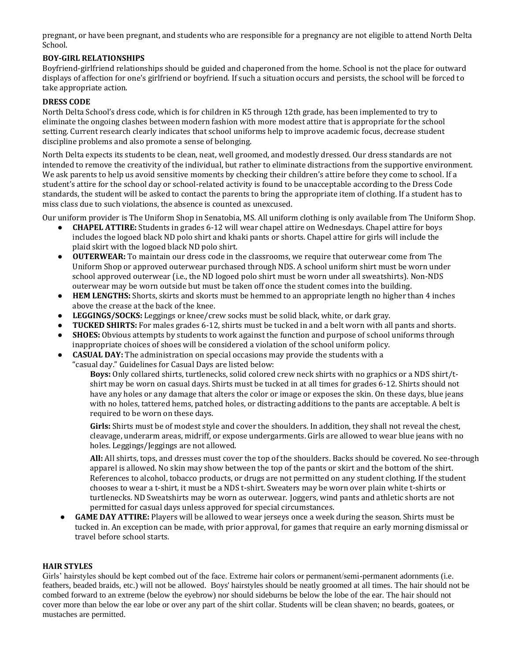pregnant, or have been pregnant, and students who are responsible for a pregnancy are not eligible to attend North Delta School.

#### **BOY-GIRL RELATIONSHIPS**

Boyfriend-girlfriend relationships should be guided and chaperoned from the home. School is not the place for outward displays of affection for one's girlfriend or boyfriend. If such a situation occurs and persists, the school will be forced to take appropriate action.

#### **DRESS CODE**

North Delta School's dress code, which is for children in K5 through 12th grade, has been implemented to try to eliminate the ongoing clashes between modern fashion with more modest attire that is appropriate for the school setting. Current research clearly indicates that school uniforms help to improve academic focus, decrease student discipline problems and also promote a sense of belonging.

North Delta expects its students to be clean, neat, well groomed, and modestly dressed. Our dress standards are not intended to remove the creativity of the individual, but rather to eliminate distractions from the supportive environment. We ask parents to help us avoid sensitive moments by checking their children's attire before they come to school. If a student's attire for the school day or school-related activity is found to be unacceptable according to the Dress Code standards, the student will be asked to contact the parents to bring the appropriate item of clothing. If a student has to miss class due to such violations, the absence is counted as unexcused.

Our uniform provider is The Uniform Shop in Senatobia, MS. All uniform clothing is only available from The Uniform Shop.

- **CHAPEL ATTIRE:** Students in grades 6-12 will wear chapel attire on Wednesdays. Chapel attire for boys includes the logoed black ND polo shirt and khaki pants or shorts. Chapel attire for girls will include the plaid skirt with the logoed black ND polo shirt.
- **OUTERWEAR:** To maintain our dress code in the classrooms, we require that outerwear come from The Uniform Shop or approved outerwear purchased through NDS. A school uniform shirt must be worn under school approved outerwear (i.e., the ND logoed polo shirt must be worn under all sweatshirts). Non-NDS outerwear may be worn outside but must be taken off once the student comes into the building.
- **HEM LENGTHS:** Shorts, skirts and skorts must be hemmed to an appropriate length no higher than 4 inches above the crease at the back of the knee.
- **LEGGINGS/SOCKS:** Leggings or knee/crew socks must be solid black, white, or dark gray.
- **TUCKED SHIRTS:** For males grades 6-12, shirts must be tucked in and a belt worn with all pants and shorts.
- **SHOES:** Obvious attempts by students to work against the function and purpose of school uniforms through inappropriate choices of shoes will be considered a violation of the school uniform policy.
- **CASUAL DAY:** The administration on special occasions may provide the students with a

"casual day." Guidelines for Casual Days are listed below:

**Boys:** Only collared shirts, turtlenecks, solid colored crew neck shirts with no graphics or a NDS shirt/tshirt may be worn on casual days. Shirts must be tucked in at all times for grades 6-12. Shirts should not have any holes or any damage that alters the color or image or exposes the skin. On these days, blue jeans with no holes, tattered hems, patched holes, or distracting additions to the pants are acceptable. A belt is required to be worn on these days.

**Girls:** Shirts must be of modest style and cover the shoulders. In addition, they shall not reveal the chest, cleavage, underarm areas, midriff, or expose undergarments. Girls are allowed to wear blue jeans with no holes. Leggings/Jeggings are not allowed.

**All:** All shirts, tops, and dresses must cover the top of the shoulders. Backs should be covered. No see-through apparel is allowed. No skin may show between the top of the pants or skirt and the bottom of the shirt. References to alcohol, tobacco products, or drugs are not permitted on any student clothing. If the student chooses to wear a t-shirt, it must be a NDS t-shirt. Sweaters may be worn over plain white t-shirts or turtlenecks. ND Sweatshirts may be worn as outerwear. Joggers, wind pants and athletic shorts are not permitted for casual days unless approved for special circumstances.

**GAME DAY ATTIRE:** Players will be allowed to wear jerseys once a week during the season. Shirts must be tucked in. An exception can be made, with prior approval, for games that require an early morning dismissal or travel before school starts.

#### **HAIR STYLES**

Girls' hairstyles should be kept combed out of the face. Extreme hair colors or permanent/semi-permanent adornments (i.e. feathers, beaded braids, etc.) will not be allowed. Boys' hairstyles should be neatly groomed at all times. The hair should not be combed forward to an extreme (below the eyebrow) nor should sideburns be below the lobe of the ear. The hair should not cover more than below the ear lobe or over any part of the shirt collar. Students will be clean shaven; no beards, goatees, or mustaches are permitted.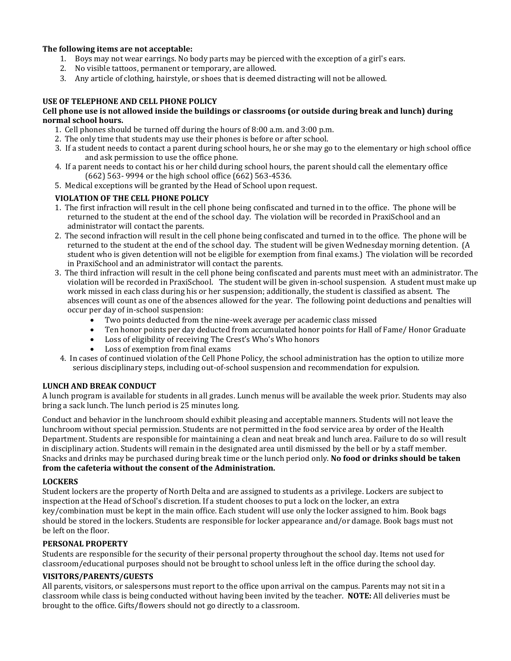#### **The following items are not acceptable:**

- 1. Boys may not wear earrings. No body parts may be pierced with the exception of a girl's ears.
- 2. No visible tattoos, permanent or temporary, are allowed.
- 3. Any article of clothing, hairstyle, or shoes that is deemed distracting will not be allowed.

#### **USE OF TELEPHONE AND CELL PHONE POLICY**

#### **Cell phone use is not allowed inside the buildings or classrooms (or outside during break and lunch) during normal school hours.**

- 1.Cell phones should be turned off during the hours of 8:00 a.m. and 3:00 p.m.
- 2. The only time that students may use their phones is before or after school.
- 3. If a student needs to contact a parent during school hours, he or she may go to the elementary or high school office and ask permission to use the office phone.
- 4. If a parent needs to contact his or her child during school hours, the parent should call the elementary office (662) 563- 9994 or the high school office (662) 563-4536.
- 5. Medical exceptions will be granted by the Head of School upon request.

#### **VIOLATION OF THE CELL PHONE POLICY**

- 1. The first infraction will result in the cell phone being confiscated and turned in to the office. The phone will be returned to the student at the end of the school day. The violation will be recorded in PraxiSchool and an administrator will contact the parents.
- 2. The second infraction will result in the cell phone being confiscated and turned in to the office. The phone will be returned to the student at the end of the school day. The student will be given Wednesday morning detention. (A student who is given detention will not be eligible for exemption from final exams.) The violation will be recorded in PraxiSchool and an administrator will contact the parents.
- 3. The third infraction will result in the cell phone being confiscated and parents must meet with an administrator. The violation will be recorded in PraxiSchool. The student will be given in-school suspension. A student must make up work missed in each class during his or her suspension; additionally, the student is classified as absent. The absences will count as one of the absences allowed for the year. The following point deductions and penalties will occur per day of in-school suspension:
	- Two points deducted from the nine-week average per academic class missed
	- Ten honor points per day deducted from accumulated honor points for Hall of Fame/Honor Graduate
	- Loss of eligibility of receiving The Crest's Who's Who honors
	- Loss of exemption from final exams
	- 4. In cases of continued violation of the Cell Phone Policy, the school administration has the option to utilize more serious disciplinary steps, including out-of-school suspension and recommendation for expulsion.

#### **LUNCH AND BREAK CONDUCT**

A lunch program is available for students in all grades. Lunch menus will be available the week prior. Students may also bring a sack lunch. The lunch period is 25 minutes long.

Conduct and behavior in the lunchroom should exhibit pleasing and acceptable manners. Students will not leave the lunchroom without special permission. Students are not permitted in the food service area by order of the Health Department. Students are responsible for maintaining a clean and neat break and lunch area. Failure to do so will result in disciplinary action. Students will remain in the designated area until dismissed by the bell or by a staff member. Snacks and drinks may be purchased during break time or the lunch period only. **No food or drinks should be taken from the cafeteria without the consent of the Administration.**

#### **LOCKERS**

Student lockers are the property of North Delta and are assigned to students as a privilege. Lockers are subject to inspection at the Head of School's discretion. If a student chooses to put a lock on the locker, an extra key/combination must be kept in the main office. Each student will use only the locker assigned to him. Book bags should be stored in the lockers. Students are responsible for locker appearance and/or damage. Book bags must not be left on the floor.

#### **PERSONAL PROPERTY**

Students are responsible for the security of their personal property throughout the school day. Items not used for classroom/educational purposes should not be brought to school unless left in the office during the school day.

#### **VISITORS/PARENTS/GUESTS**

All parents, visitors, or salespersons must report to the office upon arrival on the campus. Parents may not sit in a classroom while class is being conducted without having been invited by the teacher. **NOTE:** All deliveries must be brought to the office. Gifts/flowers should not go directly to a classroom.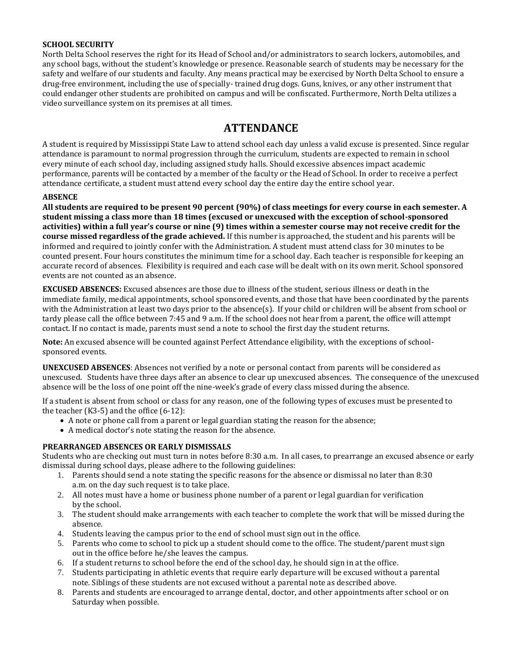#### **SCHOOL SECURITY**

North Delta School reserves the right for its Head of School and/or administrators to search lockers, automobiles, and any school bags, without the student's knowledge or presence. Reasonable search of students may be necessary for the safety and welfare of our students and faculty. Any means practical may be exercised by North Delta School to ensure a drug-free environment, including the use of specially- trained drug dogs. Guns, knives, or any other instrument that could endanger other students are prohibited on campus and will be confiscated. Furthermore, North Delta utilizes a video surveillance system on its premises at all times.

# **ATTENDANCE**

A student is required by Mississippi State Law to attend school each day unless a valid excuse is presented. Since regular attendance is paramount to normal progression through the curriculum, students are expected to remain in school every minute of each school day, including assigned study halls. Should excessive absences impact academic performance, parents will be contacted by a member of the faculty or the Head of School. In order to receive a perfect attendance certificate, a student must attend every school day the entire day the entire school year.

#### **ABSENCE**

**All students are required to be present 90 percent (90%) of class meetings for every course in each semester. A student missing a class more than 18 times (excused or unexcused with the exception of school-sponsored activities) within a full year's course or nine (9) times within a semester course may not receive credit for the course missed regardless of the grade achieved.** If this number is approached, the student and his parents will be informed and required to jointly confer with the Administration. A student must attend class for 30 minutes to be counted present. Four hours constitutes the minimum time for a school day. Each teacher is responsible for keeping an accurate record of absences. Flexibility is required and each case will be dealt with on its own merit. School sponsored events are not counted as an absence.

**EXCUSED ABSENCES:** Excused absences are those due to illness of the student, serious illness or death in the immediate family, medical appointments, school sponsored events, and those that have been coordinated by the parents with the Administration at least two days prior to the absence(s). If your child or children will be absent from school or tardy please call the office between 7:45 and 9 a.m. If the school does not hear from a parent, the office will attempt contact. If no contact is made, parents must send a note to school the first day the student returns.

**Note:** An excused absence will be counted against Perfect Attendance eligibility, with the exceptions of schoolsponsored events.

**UNEXCUSED ABSENCES**: Absences not verified by a note or personal contact from parents will be considered as unexcused. Students have three days after an absence to clear up unexcused absences. The consequence of the unexcused absence will be the loss of one point off the nine-week's grade of every class missed during the absence.

If a student is absent from school or class for any reason, one of the following types of excuses must be presented to the teacher  $(K3-5)$  and the office  $(6-12)$ :

- A note or phone call from a parent or legal guardian stating the reason for the absence;
- A medical doctor's note stating the reason for the absence.

#### **PREARRANGED ABSENCES OR EARLY DISMISSALS**

Students who are checking out must turn in notes before 8:30 a.m. In all cases, to prearrange an excused absence or early dismissal during school days, please adhere to the following guidelines:

- 1. Parents should send a note stating the specific reasons for the absence or dismissal no later than 8:30 a.m. on the day such request is to take place.
- 2. All notes must have a home or business phone number of a parent or legal guardian for verification by the school.
- 3. The student should make arrangements with each teacher to complete the work that will be missed during the absence.
- 4. Students leaving the campus prior to the end of school must sign out in the office.
- 5. Parents who come to school to pick up a student should come to the office. The student/parent must sign out in the office before he/she leaves the campus.
- 6. If a student returns to school before the end of the school day, he should sign in at the office.
- 7. Students participating in athletic events that require early departure will be excused without a parental note. Siblings of these students are not excused without a parental note as described above.
- 8. Parents and students are encouraged to arrange dental, doctor, and other appointments after school or on Saturday when possible.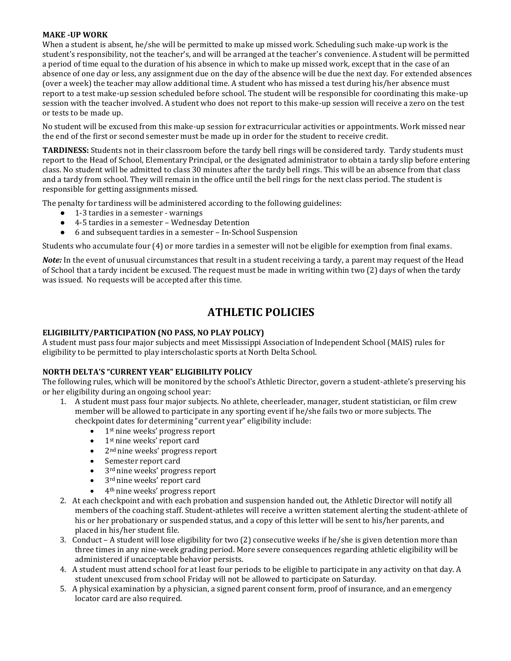#### **MAKE -UP WORK**

When a student is absent, he/she will be permitted to make up missed work. Scheduling such make-up work is the student's responsibility, not the teacher's, and will be arranged at the teacher's convenience. A student will be permitted a period of time equal to the duration of his absence in which to make up missed work, except that in the case of an absence of one day or less, any assignment due on the day of the absence will be due the next day. For extended absences (over a week) the teacher may allow additional time. A student who has missed a test during his/her absence must report to a test make-up session scheduled before school. The student will be responsible for coordinating this make-up session with the teacher involved. A student who does not report to this make-up session will receive a zero on the test or tests to be made up.

No student will be excused from this make-up session for extracurricular activities or appointments. Work missed near the end of the first or second semester must be made up in order for the student to receive credit.

**TARDINESS:** Students not in their classroom before the tardy bell rings will be considered tardy. Tardy students must report to the Head of School, Elementary Principal, or the designated administrator to obtain a tardy slip before entering class. No student will be admitted to class 30 minutes after the tardy bell rings. This will be an absence from that class and a tardy from school. They will remain in the office until the bell rings for the next class period. The student is responsible for getting assignments missed.

The penalty for tardiness will be administered according to the following guidelines:

- 1-3 tardies in a semester warnings
- 4-5 tardies in a semester Wednesday Detention
- 6 and subsequent tardies in a semester In-School Suspension

Students who accumulate four (4) or more tardies in a semester will not be eligible for exemption from final exams.

*Note:* In the event of unusual circumstances that result in a student receiving a tardy, a parent may request of the Head of School that a tardy incident be excused. The request must be made in writing within two (2) days of when the tardy was issued. No requests will be accepted after this time.

# **ATHLETIC POLICIES**

#### **ELIGIBILITY/PARTICIPATION (NO PASS, NO PLAY POLICY)**

A student must pass four major subjects and meet Mississippi Association of Independent School (MAIS) rules for eligibility to be permitted to play interscholastic sports at North Delta School.

#### **NORTH DELTA'S "CURRENT YEAR" ELIGIBILITY POLICY**

The following rules, which will be monitored by the school's Athletic Director, govern a student-athlete's preserving his or her eligibility during an ongoing school year:

- 1. A student must pass four major subjects. No athlete, cheerleader, manager, student statistician, or film crew member will be allowed to participate in any sporting event if he/she fails two or more subjects. The checkpoint dates for determining "current year" eligibility include:
	- 1<sup>st</sup> nine weeks' progress report
	- 1<sup>st</sup> nine weeks' report card
	- 2<sup>nd</sup> nine weeks' progress report
	- Semester report card
	- 3<sup>rd</sup> nine weeks' progress report
	- 3<sup>rd</sup> nine weeks' report card
	- 4th nine weeks' progress report
- 2. At each checkpoint and with each probation and suspension handed out, the Athletic Director will notify all members of the coaching staff. Student-athletes will receive a written statement alerting the student-athlete of his or her probationary or suspended status, and a copy of this letter will be sent to his/her parents, and placed in his/her student file.
- 3. Conduct A student will lose eligibility for two (2) consecutive weeks if he/she is given detention more than three times in any nine-week grading period. More severe consequences regarding athletic eligibility will be administered if unacceptable behavior persists.
- 4. A student must attend school for at least four periods to be eligible to participate in any activity on that day. A student unexcused from school Friday will not be allowed to participate on Saturday.
- 5. A physical examination by a physician, a signed parent consent form, proof of insurance, and an emergency locator card are also required.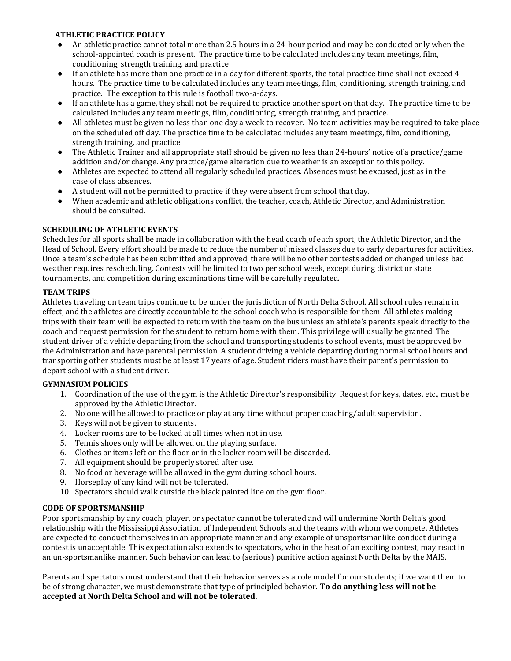#### **ATHLETIC PRACTICE POLICY**

- An athletic practice cannot total more than 2.5 hours in a 24-hour period and may be conducted only when the school-appointed coach is present. The practice time to be calculated includes any team meetings, film, conditioning, strength training, and practice.
- If an athlete has more than one practice in a day for different sports, the total practice time shall not exceed 4 hours. The practice time to be calculated includes any team meetings, film, conditioning, strength training, and practice. The exception to this rule is football two-a-days.
- If an athlete has a game, they shall not be required to practice another sport on that day. The practice time to be calculated includes any team meetings, film, conditioning, strength training, and practice.
- All athletes must be given no less than one day a week to recover. No team activities may be required to take place on the scheduled off day. The practice time to be calculated includes any team meetings, film, conditioning, strength training, and practice.
- The Athletic Trainer and all appropriate staff should be given no less than 24-hours' notice of a practice/game addition and/or change. Any practice/game alteration due to weather is an exception to this policy.
- Athletes are expected to attend all regularly scheduled practices. Absences must be excused, just as in the case of class absences.
- A student will not be permitted to practice if they were absent from school that day.
- When academic and athletic obligations conflict, the teacher, coach, Athletic Director, and Administration should be consulted.

#### **SCHEDULING OF ATHLETIC EVENTS**

Schedules for all sports shall be made in collaboration with the head coach of each sport, the Athletic Director, and the Head of School. Every effort should be made to reduce the number of missed classes due to early departures for activities. Once a team's schedule has been submitted and approved, there will be no other contests added or changed unless bad weather requires rescheduling. Contests will be limited to two per school week, except during district or state tournaments, and competition during examinations time will be carefully regulated.

#### **TEAM TRIPS**

Athletes traveling on team trips continue to be under the jurisdiction of North Delta School. All school rules remain in effect, and the athletes are directly accountable to the school coach who is responsible for them. All athletes making trips with their team will be expected to return with the team on the bus unless an athlete's parents speak directly to the coach and request permission for the student to return home with them. This privilege will usually be granted. The student driver of a vehicle departing from the school and transporting students to school events, must be approved by the Administration and have parental permission. A student driving a vehicle departing during normal school hours and transporting other students must be at least 17 years of age. Student riders must have their parent's permission to depart school with a student driver.

#### **GYMNASIUM POLICIES**

- 1. Coordination of the use of the gym is the Athletic Director's responsibility. Request for keys, dates, etc., must be approved by the Athletic Director.
- 2. No one will be allowed to practice or play at any time without proper coaching/adult supervision.
- 3. Keys will not be given to students.
- 4. Locker rooms are to be locked at all times when not in use.
- 5. Tennis shoes only will be allowed on the playing surface.
- 6. Clothes or items left on the floor or in the locker room will be discarded.
- 7. All equipment should be properly stored after use.
- 8. No food or beverage will be allowed in the gym during school hours.
- 9. Horseplay of any kind will not be tolerated.
- 10. Spectators should walk outside the black painted line on the gym floor.

#### **CODE OF SPORTSMANSHIP**

Poor sportsmanship by any coach, player, or spectator cannot be tolerated and will undermine North Delta's good relationship with the Mississippi Association of Independent Schools and the teams with whom we compete. Athletes are expected to conduct themselves in an appropriate manner and any example of unsportsmanlike conduct during a contest is unacceptable. This expectation also extends to spectators, who in the heat of an exciting contest, may react in an un-sportsmanlike manner. Such behavior can lead to (serious) punitive action against North Delta by the MAIS.

Parents and spectators must understand that their behavior serves as a role model for our students; if we want them to be of strong character, we must demonstrate that type of principled behavior. **To do anything less will not be accepted at North Delta School and will not be tolerated.**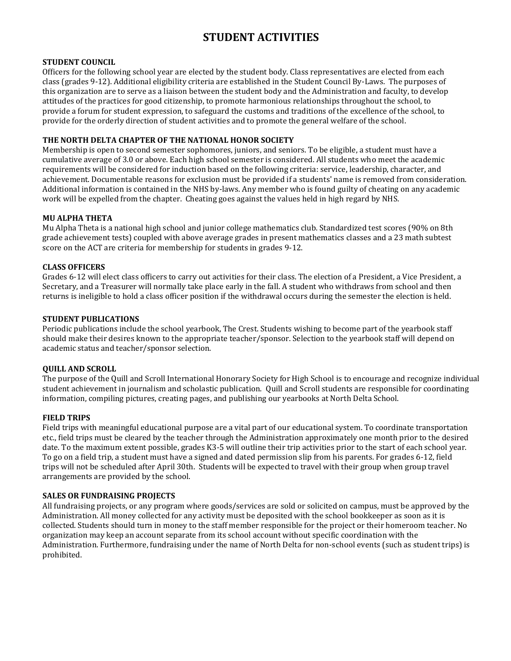# **STUDENT ACTIVITIES**

#### **STUDENT COUNCIL**

Officers for the following school year are elected by the student body. Class representatives are elected from each class (grades 9-12). Additional eligibility criteria are established in the Student Council By-Laws. The purposes of this organization are to serve as a liaison between the student body and the Administration and faculty, to develop attitudes of the practices for good citizenship, to promote harmonious relationships throughout the school, to provide a forum for student expression, to safeguard the customs and traditions of the excellence of the school, to provide for the orderly direction of student activities and to promote the general welfare of the school.

#### **THE NORTH DELTA CHAPTER OF THE NATIONAL HONOR SOCIETY**

Membership is open to second semester sophomores, juniors, and seniors. To be eligible, a student must have a cumulative average of 3.0 or above. Each high school semester is considered. All students who meet the academic requirements will be considered for induction based on the following criteria: service, leadership, character, and achievement. Documentable reasons for exclusion must be provided if a students' name is removed from consideration. Additional information is contained in the NHS by-laws. Any member who is found guilty of cheating on any academic work will be expelled from the chapter. Cheating goes against the values held in high regard by NHS.

#### **MU ALPHA THETA**

Mu Alpha Theta is a national high school and junior college mathematics club. Standardized test scores (90% on 8th grade achievement tests) coupled with above average grades in present mathematics classes and a 23 math subtest score on the ACT are criteria for membership for students in grades 9-12.

#### **CLASS OFFICERS**

Grades 6-12 will elect class officers to carry out activities for their class. The election of a President, a Vice President, a Secretary, and a Treasurer will normally take place early in the fall. A student who withdraws from school and then returns is ineligible to hold a class officer position if the withdrawal occurs during the semester the election is held.

#### **STUDENT PUBLICATIONS**

Periodic publications include the school yearbook, The Crest. Students wishing to become part of the yearbook staff should make their desires known to the appropriate teacher/sponsor. Selection to the yearbook staff will depend on academic status and teacher/sponsor selection.

#### **QUILL AND SCROLL**

The purpose of the Quill and Scroll International Honorary Society for High School is to encourage and recognize individual student achievement in journalism and scholastic publication. Quill and Scroll students are responsible for coordinating information, compiling pictures, creating pages, and publishing our yearbooks at North Delta School.

#### **FIELD TRIPS**

Field trips with meaningful educational purpose are a vital part of our educational system. To coordinate transportation etc., field trips must be cleared by the teacher through the Administration approximately one month prior to the desired date. To the maximum extent possible, grades K3-5 will outline their trip activities prior to the start of each school year. To go on a field trip, a student must have a signed and dated permission slip from his parents. For grades 6-12, field trips will not be scheduled after April 30th. Students will be expected to travel with their group when group travel arrangements are provided by the school.

#### **SALES OR FUNDRAISING PROJECTS**

All fundraising projects, or any program where goods/services are sold or solicited on campus, must be approved by the Administration. All money collected for any activity must be deposited with the school bookkeeper as soon as it is collected. Students should turn in money to the staff member responsible for the project or their homeroom teacher. No organization may keep an account separate from its school account without specific coordination with the Administration. Furthermore, fundraising under the name of North Delta for non-school events (such as student trips) is prohibited.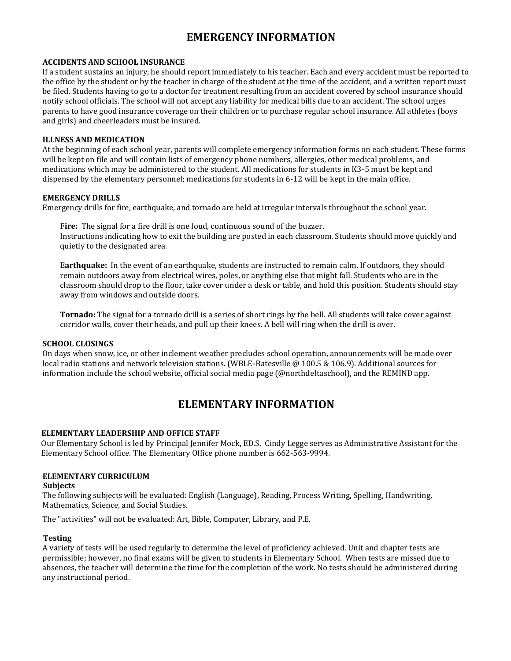# **EMERGENCY INFORMATION**

#### **ACCIDENTS AND SCHOOL INSURANCE**

If a student sustains an injury, he should report immediately to his teacher. Each and every accident must be reported to the office by the student or by the teacher in charge of the student at the time of the accident, and a written report must be filed. Students having to go to a doctor for treatment resulting from an accident covered by school insurance should notify school officials. The school will not accept any liability for medical bills due to an accident. The school urges parents to have good insurance coverage on their children or to purchase regular school insurance. All athletes (boys and girls) and cheerleaders must be insured.

#### **ILLNESS AND MEDICATION**

At the beginning of each school year, parents will complete emergency information forms on each student. These forms will be kept on file and will contain lists of emergency phone numbers, allergies, other medical problems, and medications which may be administered to the student. All medications for students in K3-5 must be kept and dispensed by the elementary personnel; medications for students in 6-12 will be kept in the main office.

#### **EMERGENCY DRILLS**

Emergency drills for fire, earthquake, and tornado are held at irregular intervals throughout the school year.

**Fire:** The signal for a fire drill is one loud, continuous sound of the buzzer. Instructions indicating how to exit the building are posted in each classroom. Students should move quickly and quietly to the designated area.

**Earthquake:** In the event of an earthquake, students are instructed to remain calm. If outdoors, they should remain outdoors away from electrical wires, poles, or anything else that might fall. Students who are in the classroom should drop to the floor, take cover under a desk or table, and hold this position. Students should stay away from windows and outside doors.

**Tornado:** The signal for a tornado drill is a series of short rings by the bell. All students will take cover against corridor walls, cover their heads, and pull up their knees. A bell will ring when the drill is over.

#### **SCHOOL CLOSINGS**

On days when snow, ice, or other inclement weather precludes school operation, announcements will be made over local radio stations and network television stations. (WBLE-Batesville @ 100.5 & 106.9). Additional sources for information include the school website, official social media page (@northdeltaschool), and the REMIND app.

# **ELEMENTARY INFORMATION**

#### **ELEMENTARY LEADERSHIP AND OFFICE STAFF**

Our Elementary School is led by Principal Jennifer Mock, ED.S. Cindy Legge serves as Administrative Assistant for the Elementary School office. The Elementary Office phone number is 662-563-9994.

#### **ELEMENTARY CURRICULUM**

#### **Subjects**

The following subjects will be evaluated: English (Language), Reading, Process Writing, Spelling, Handwriting, Mathematics, Science, and Social Studies.

The "activities" will not be evaluated: Art, Bible, Computer, Library, and P.E.

#### **Testing**

A variety of tests will be used regularly to determine the level of proficiency achieved. Unit and chapter tests are permissible; however, no final exams will be given to students in Elementary School. When tests are missed due to absences, the teacher will determine the time for the completion of the work. No tests should be administered during any instructional period.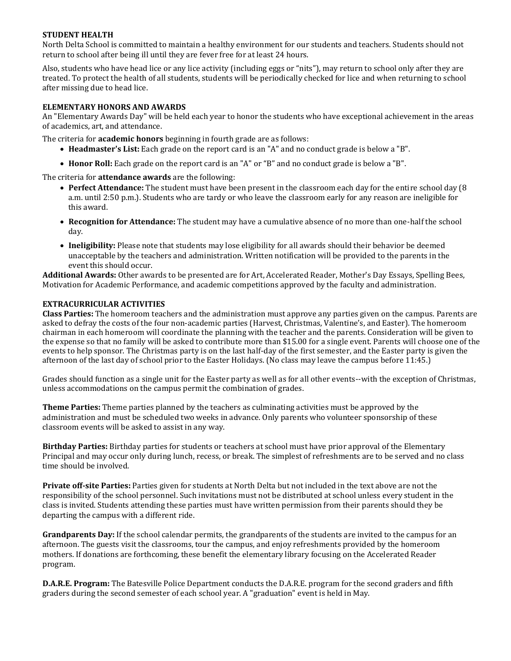#### **STUDENT HEALTH**

North Delta School is committed to maintain a healthy environment for our students and teachers. Students should not return to school after being ill until they are fever free for at least 24 hours.

Also, students who have head lice or any lice activity (including eggs or "nits"), may return to school only after they are treated. To protect the health of all students, students will be periodically checked for lice and when returning to school after missing due to head lice.

#### **ELEMENTARY HONORS AND AWARDS**

An "Elementary Awards Day" will be held each year to honor the students who have exceptional achievement in the areas of academics, art, and attendance.

The criteria for **academic honors** beginning in fourth grade are as follows:

- **Headmaster's List:** Each grade on the report card is an "A" and no conduct grade is below a "B".
- **Honor Roll:** Each grade on the report card is an "A" or "B" and no conduct grade is below a "B".

The criteria for **attendance awards** are the following:

- **Perfect Attendance:** The student must have been present in the classroom each day for the entire school day (8 a.m. until 2:50 p.m.). Students who are tardy or who leave the classroom early for any reason are ineligible for this award.
- **Recognition for Attendance:** The student may have a cumulative absence of no more than one-half the school day.
- **Ineligibility:** Please note that students may lose eligibility for all awards should their behavior be deemed unacceptable by the teachers and administration. Written notification will be provided to the parents in the event this should occur.

**Additional Awards:** Other awards to be presented are for Art, Accelerated Reader, Mother's Day Essays, Spelling Bees, Motivation for Academic Performance, and academic competitions approved by the faculty and administration.

#### **EXTRACURRICULAR ACTIVITIES**

**Class Parties:** The homeroom teachers and the administration must approve any parties given on the campus. Parents are asked to defray the costs of the four non-academic parties (Harvest, Christmas, Valentine's, and Easter). The homeroom chairman in each homeroom will coordinate the planning with the teacher and the parents. Consideration will be given to the expense so that no family will be asked to contribute more than \$15.00 for a single event. Parents will choose one of the events to help sponsor. The Christmas party is on the last half-day of the first semester, and the Easter party is given the afternoon of the last day of school prior to the Easter Holidays. (No class may leave the campus before 11:45.)

Grades should function as a single unit for the Easter party as well as for all other events--with the exception of Christmas, unless accommodations on the campus permit the combination of grades.

**Theme Parties:** Theme parties planned by the teachers as culminating activities must be approved by the administration and must be scheduled two weeks in advance. Only parents who volunteer sponsorship of these classroom events will be asked to assist in any way.

**Birthday Parties:** Birthday parties for students or teachers at school must have prior approval of the Elementary Principal and may occur only during lunch, recess, or break. The simplest of refreshments are to be served and no class time should be involved.

**Private off-site Parties:** Parties given for students at North Delta but not included in the text above are not the responsibility of the school personnel. Such invitations must not be distributed at school unless every student in the class is invited. Students attending these parties must have written permission from their parents should they be departing the campus with a different ride.

**Grandparents Day:** If the school calendar permits, the grandparents of the students are invited to the campus for an afternoon. The guests visit the classrooms, tour the campus, and enjoy refreshments provided by the homeroom mothers. If donations are forthcoming, these benefit the elementary library focusing on the Accelerated Reader program.

**D.A.R.E. Program:** The Batesville Police Department conducts the D.A.R.E. program for the second graders and fifth graders during the second semester of each school year. A "graduation" event is held in May.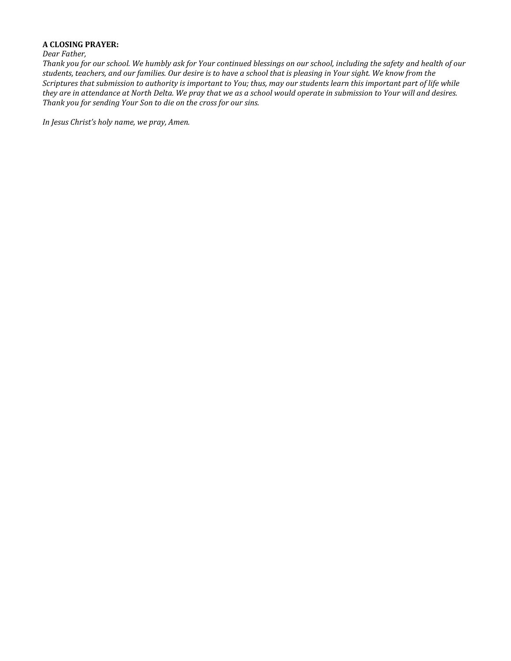#### **A CLOSING PRAYER:**

#### *Dear Father,*

*Thank you for our school. We humbly ask for Your continued blessings on our school, including the safety and health of our students, teachers, and our families. Our desire is to have a school that is pleasing in Your sight. We know from the Scriptures that submission to authority is important to You; thus, may our students learn this important part of life while they are in attendance at North Delta. We pray that we as a school would operate in submission to Your will and desires. Thank you for sending Your Son to die on the cross for our sins.*

*In Jesus Christ's holy name, we pray, Amen.*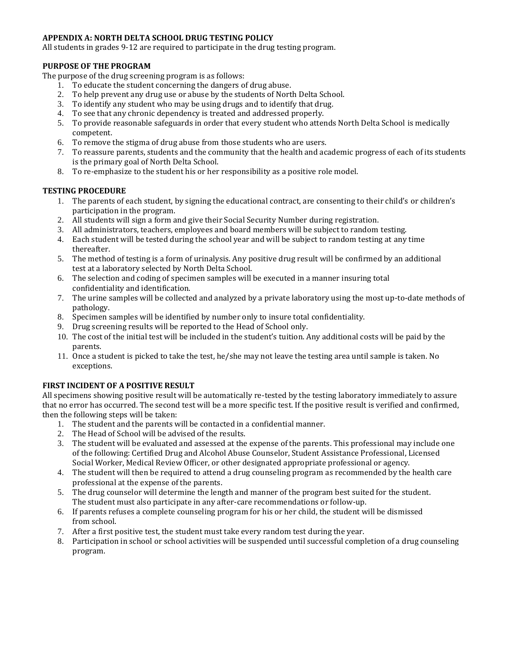#### **APPENDIX A: NORTH DELTA SCHOOL DRUG TESTING POLICY**

All students in grades 9-12 are required to participate in the drug testing program.

#### **PURPOSE OF THE PROGRAM**

The purpose of the drug screening program is as follows:

- 1. To educate the student concerning the dangers of drug abuse.
- 2. To help prevent any drug use or abuse by the students of North Delta School.
- 3. To identify any student who may be using drugs and to identify that drug.
- 4. To see that any chronic dependency is treated and addressed properly.
- 5. To provide reasonable safeguards in order that every student who attends North Delta School is medically competent.
- 6. To remove the stigma of drug abuse from those students who are users.
- 7. To reassure parents, students and the community that the health and academic progress of each of its students is the primary goal of North Delta School.
- 8. To re-emphasize to the student his or her responsibility as a positive role model.

#### **TESTING PROCEDURE**

- 1. The parents of each student, by signing the educational contract, are consenting to their child's or children's participation in the program.
- 2. All students will sign a form and give their Social Security Number during registration.
- 3. All administrators, teachers, employees and board members will be subject to random testing.
- 4. Each student will be tested during the school year and will be subject to random testing at any time thereafter.
- 5. The method of testing is a form of urinalysis. Any positive drug result will be confirmed by an additional test at a laboratory selected by North Delta School.
- 6. The selection and coding of specimen samples will be executed in a manner insuring total confidentiality and identification.
- 7. The urine samples will be collected and analyzed by a private laboratory using the most up-to-date methods of pathology.
- 8. Specimen samples will be identified by number only to insure total confidentiality.
- 9. Drug screening results will be reported to the Head of School only.
- 10. The cost of the initial test will be included in the student's tuition. Any additional costs will be paid by the parents.
- 11. Once a student is picked to take the test, he/she may not leave the testing area until sample is taken. No exceptions.

#### **FIRST INCIDENT OF A POSITIVE RESULT**

All specimens showing positive result will be automatically re-tested by the testing laboratory immediately to assure that no error has occurred. The second test will be a more specific test. If the positive result is verified and confirmed, then the following steps will be taken:

- 1. The student and the parents will be contacted in a confidential manner.
- 2. The Head of School will be advised of the results.
- 3. The student will be evaluated and assessed at the expense of the parents. This professional may include one of the following: Certified Drug and Alcohol Abuse Counselor, Student Assistance Professional, Licensed Social Worker, Medical Review Officer, or other designated appropriate professional or agency.
- 4. The student will then be required to attend a drug counseling program as recommended by the health care professional at the expense of the parents.
- 5. The drug counselor will determine the length and manner of the program best suited for the student. The student must also participate in any after-care recommendations or follow-up.
- 6. If parents refuses a complete counseling program for his or her child, the student will be dismissed from school.
- 7. After a first positive test, the student must take every random test during the year.
- 8. Participation in school or school activities will be suspended until successful completion of a drug counseling program.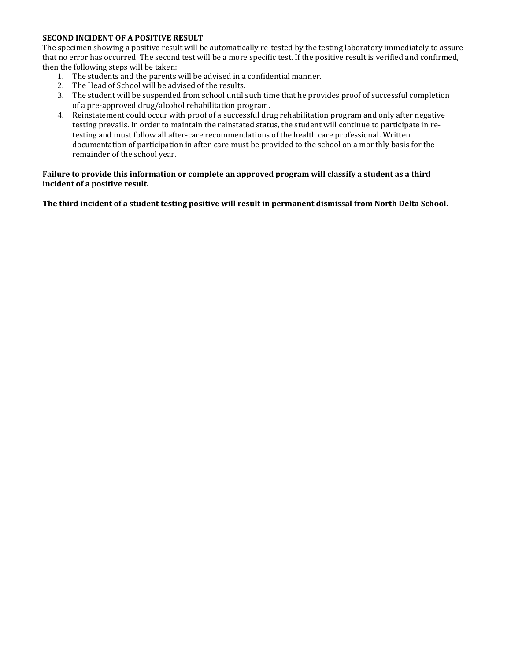#### **SECOND INCIDENT OF A POSITIVE RESULT**

The specimen showing a positive result will be automatically re-tested by the testing laboratory immediately to assure that no error has occurred. The second test will be a more specific test. If the positive result is verified and confirmed, then the following steps will be taken:

- 1. The students and the parents will be advised in a confidential manner.
- 2. The Head of School will be advised of the results.
- 3. The student will be suspended from school until such time that he provides proof of successful completion of a pre-approved drug/alcohol rehabilitation program.
- 4. Reinstatement could occur with proof of a successful drug rehabilitation program and only after negative testing prevails. In order to maintain the reinstated status, the student will continue to participate in retesting and must follow all after-care recommendations of the health care professional. Written documentation of participation in after-care must be provided to the school on a monthly basis for the remainder of the school year.

#### **Failure to provide this information or complete an approved program will classify a student as a third incident of a positive result.**

**The third incident of a student testing positive will result in permanent dismissal from North Delta School.**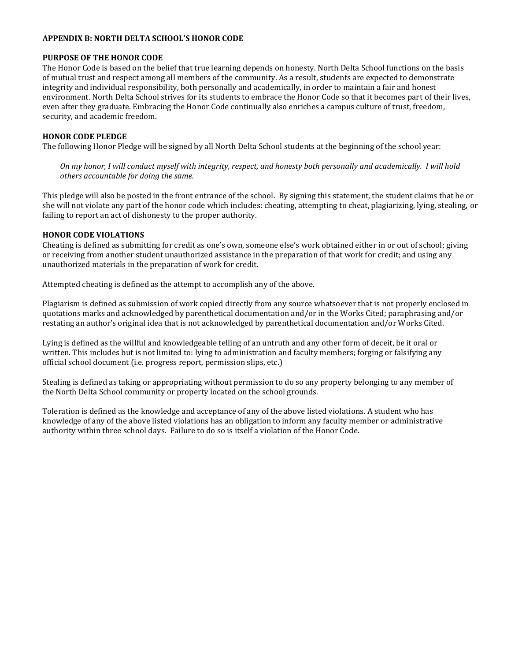#### **APPENDIX B: NORTH DELTA SCHOOL'S HONOR CODE**

#### **PURPOSE OF THE HONOR CODE**

The Honor Code is based on the belief that true learning depends on honesty. North Delta School functions on the basis of mutual trust and respect among all members of the community. As a result, students are expected to demonstrate integrity and individual responsibility, both personally and academically, in order to maintain a fair and honest environment. North Delta School strives for its students to embrace the Honor Code so that it becomes part of their lives, even after they graduate. Embracing the Honor Code continually also enriches a campus culture of trust, freedom, security, and academic freedom.

#### **HONOR CODE PLEDGE**

The following Honor Pledge will be signed by all North Delta School students at the beginning of the school year:

*On my honor, I will conduct myself with integrity, respect, and honesty both personally and academically. I will hold others accountable for doing the same.*

This pledge will also be posted in the front entrance of the school. By signing this statement, the student claims that he or she will not violate any part of the honor code which includes: cheating, attempting to cheat, plagiarizing, lying, stealing, or failing to report an act of dishonesty to the proper authority.

#### **HONOR CODE VIOLATIONS**

Cheating is defined as submitting for credit as one's own, someone else's work obtained either in or out of school; giving or receiving from another student unauthorized assistance in the preparation of that work for credit; and using any unauthorized materials in the preparation of work for credit.

Attempted cheating is defined as the attempt to accomplish any of the above.

Plagiarism is defined as submission of work copied directly from any source whatsoever that is not properly enclosed in quotations marks and acknowledged by parenthetical documentation and/or in the Works Cited; paraphrasing and/or restating an author's original idea that is not acknowledged by parenthetical documentation and/or Works Cited.

Lying is defined as the willful and knowledgeable telling of an untruth and any other form of deceit, be it oral or written. This includes but is not limited to: lying to administration and faculty members; forging or falsifying any official school document (i.e. progress report, permission slips, etc.)

Stealing is defined as taking or appropriating without permission to do so any property belonging to any member of the North Delta School community or property located on the school grounds.

Toleration is defined as the knowledge and acceptance of any of the above listed violations. A student who has knowledge of any of the above listed violations has an obligation to inform any faculty member or administrative authority within three school days. Failure to do so is itself a violation of the Honor Code.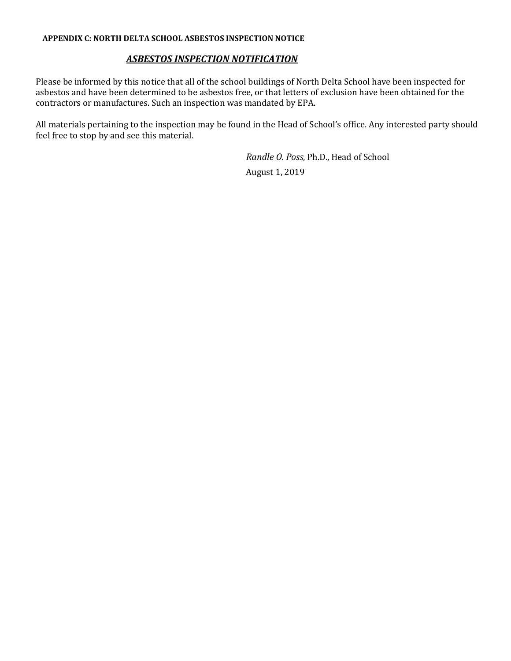#### **APPENDIX C: NORTH DELTA SCHOOL ASBESTOS INSPECTION NOTICE**

### *ASBESTOS INSPECTION NOTIFICATION*

Please be informed by this notice that all of the school buildings of North Delta School have been inspected for asbestos and have been determined to be asbestos free, or that letters of exclusion have been obtained for the contractors or manufactures. Such an inspection was mandated by EPA.

All materials pertaining to the inspection may be found in the Head of School's office. Any interested party should feel free to stop by and see this material.

> *Randle O. Poss*, Ph.D., Head of School August 1, 2019